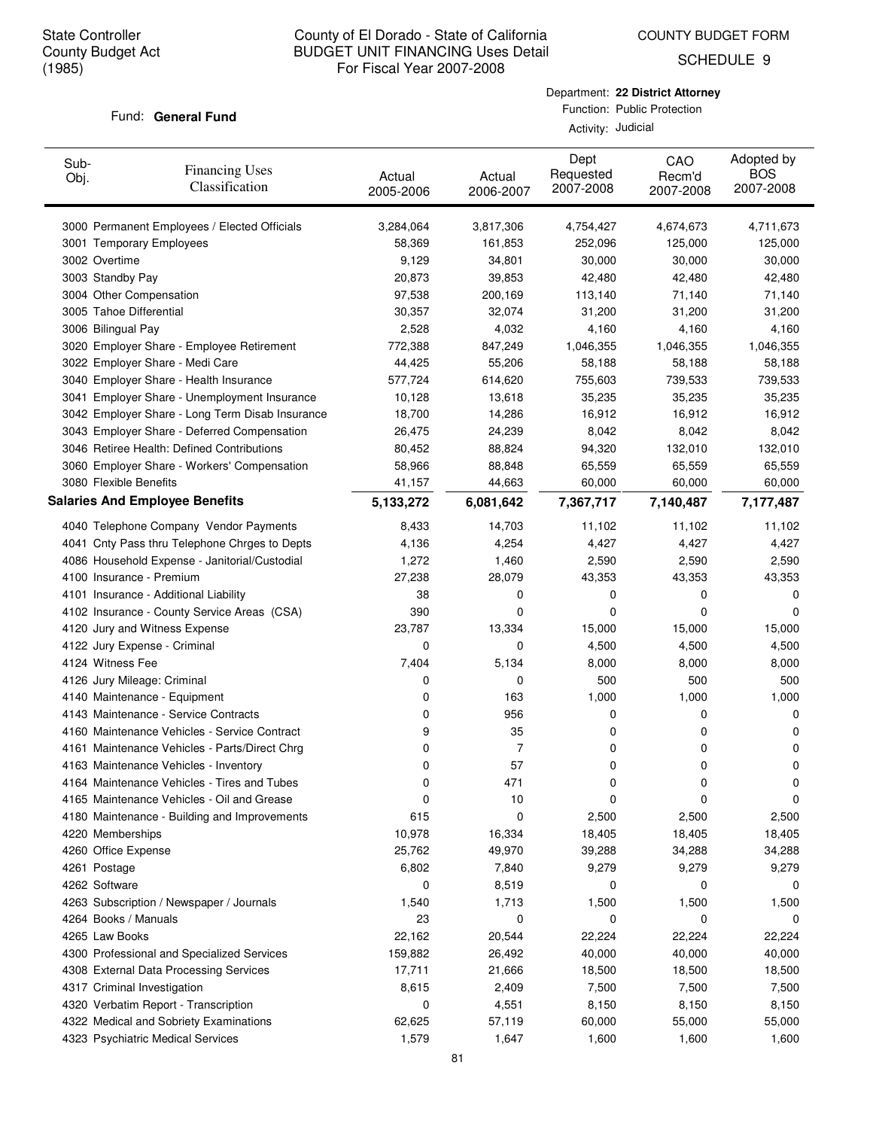COUNTY BUDGET FORM

SCHEDULE 9

### Fund: General Fund

Department: **22 District Attorney** Function: Public Protection

Activity: Judicial

| Sub-<br>Obj. | <b>Financing Uses</b><br>Classification         | Actual<br>2005-2006 | Actual<br>2006-2007 | Dept<br>Requested<br>2007-2008 | CAO<br>Recm'd<br>2007-2008 | Adopted by<br><b>BOS</b><br>2007-2008 |
|--------------|-------------------------------------------------|---------------------|---------------------|--------------------------------|----------------------------|---------------------------------------|
|              | 3000 Permanent Employees / Elected Officials    | 3,284,064           | 3,817,306           | 4,754,427                      | 4,674,673                  | 4,711,673                             |
|              | 3001 Temporary Employees                        | 58,369              | 161,853             | 252,096                        | 125,000                    | 125,000                               |
|              | 3002 Overtime                                   | 9,129               | 34,801              | 30,000                         | 30,000                     | 30,000                                |
|              | 3003 Standby Pay                                | 20,873              | 39,853              | 42,480                         | 42,480                     | 42,480                                |
|              | 3004 Other Compensation                         | 97,538              | 200,169             | 113,140                        | 71,140                     | 71,140                                |
|              | 3005 Tahoe Differential                         | 30,357              | 32,074              | 31,200                         | 31,200                     | 31,200                                |
|              | 3006 Bilingual Pay                              | 2,528               | 4,032               | 4,160                          | 4,160                      | 4,160                                 |
|              | 3020 Employer Share - Employee Retirement       | 772,388             | 847,249             | 1,046,355                      | 1,046,355                  | 1,046,355                             |
|              | 3022 Employer Share - Medi Care                 | 44,425              | 55,206              | 58,188                         | 58,188                     | 58,188                                |
|              | 3040 Employer Share - Health Insurance          | 577,724             | 614,620             | 755,603                        | 739,533                    | 739,533                               |
|              | 3041 Employer Share - Unemployment Insurance    | 10,128              | 13,618              | 35,235                         | 35,235                     | 35,235                                |
|              | 3042 Employer Share - Long Term Disab Insurance | 18,700              | 14,286              | 16,912                         | 16,912                     | 16,912                                |
|              | 3043 Employer Share - Deferred Compensation     | 26,475              | 24,239              | 8,042                          | 8,042                      | 8,042                                 |
|              | 3046 Retiree Health: Defined Contributions      | 80,452              | 88,824              | 94,320                         | 132,010                    | 132,010                               |
|              | 3060 Employer Share - Workers' Compensation     | 58,966              | 88,848              | 65,559                         | 65,559                     | 65,559                                |
|              | 3080 Flexible Benefits                          | 41,157              | 44,663              | 60,000                         | 60,000                     | 60,000                                |
|              | <b>Salaries And Employee Benefits</b>           | 5,133,272           | 6,081,642           | 7,367,717                      | 7,140,487                  | 7,177,487                             |
|              | 4040 Telephone Company Vendor Payments          | 8,433               | 14,703              | 11,102                         | 11,102                     | 11,102                                |
|              | 4041 Cnty Pass thru Telephone Chrges to Depts   | 4,136               | 4,254               | 4,427                          | 4,427                      | 4,427                                 |
|              | 4086 Household Expense - Janitorial/Custodial   | 1,272               | 1,460               | 2,590                          | 2,590                      | 2,590                                 |
|              | 4100 Insurance - Premium                        | 27,238              | 28,079              | 43,353                         | 43,353                     | 43,353                                |
|              | 4101 Insurance - Additional Liability           | 38                  | 0                   | 0                              | 0                          | 0                                     |
|              | 4102 Insurance - County Service Areas (CSA)     | 390                 | 0                   | 0                              | 0                          | 0                                     |
|              | 4120 Jury and Witness Expense                   | 23,787              | 13,334              | 15,000                         | 15,000                     | 15,000                                |
|              | 4122 Jury Expense - Criminal                    | 0                   | 0                   | 4,500                          | 4,500                      | 4,500                                 |
|              | 4124 Witness Fee                                | 7,404               | 5,134               | 8,000                          | 8,000                      | 8,000                                 |
|              | 4126 Jury Mileage: Criminal                     | 0                   | 0                   | 500                            | 500                        | 500                                   |
|              | 4140 Maintenance - Equipment                    | 0                   | 163                 | 1,000                          | 1,000                      | 1,000                                 |
|              | 4143 Maintenance - Service Contracts            | 0                   | 956                 | 0                              | 0                          | 0                                     |
|              | 4160 Maintenance Vehicles - Service Contract    | 9                   | 35                  | 0                              | 0                          | 0                                     |
|              | 4161 Maintenance Vehicles - Parts/Direct Chrg   | 0                   | 7                   | 0                              | 0                          | 0                                     |
|              | 4163 Maintenance Vehicles - Inventory           | 0                   | 57                  | 0                              | 0                          | 0                                     |
|              | 4164 Maintenance Vehicles - Tires and Tubes     | 0                   | 471                 | 0                              | 0                          | 0                                     |
|              | 4165 Maintenance Vehicles - Oil and Grease      | 0                   | 10                  | 0                              | 0                          | 0                                     |
|              | 4180 Maintenance - Building and Improvements    | 615                 | 0                   | 2,500                          | 2,500                      | 2,500                                 |
|              | 4220 Memberships                                | 10,978              | 16,334              | 18,405                         | 18,405                     | 18,405                                |
|              | 4260 Office Expense                             | 25,762              | 49,970              | 39,288                         | 34,288                     | 34,288                                |
|              | 4261 Postage                                    | 6,802               | 7,840               | 9,279                          | 9,279                      | 9,279                                 |
|              | 4262 Software                                   | 0                   | 8,519               | 0                              | 0                          | 0                                     |
|              | 4263 Subscription / Newspaper / Journals        | 1,540               | 1,713               | 1,500                          | 1,500                      | 1,500                                 |
|              | 4264 Books / Manuals                            | 23                  | 0                   | 0                              | 0                          | 0                                     |
|              | 4265 Law Books                                  | 22,162              | 20,544              | 22,224                         | 22,224                     | 22,224                                |
|              | 4300 Professional and Specialized Services      | 159,882             | 26,492              | 40,000                         | 40,000                     | 40,000                                |
|              | 4308 External Data Processing Services          | 17,711              | 21,666              | 18,500                         | 18,500                     | 18,500                                |
|              | 4317 Criminal Investigation                     | 8,615               | 2,409               | 7,500                          | 7,500                      | 7,500                                 |
|              | 4320 Verbatim Report - Transcription            | 0                   | 4,551               | 8,150                          | 8,150                      | 8,150                                 |
|              | 4322 Medical and Sobriety Examinations          | 62,625              | 57,119              | 60,000                         | 55,000                     | 55,000                                |
|              | 4323 Psychiatric Medical Services               | 1,579               | 1,647               | 1,600                          | 1,600                      | 1,600                                 |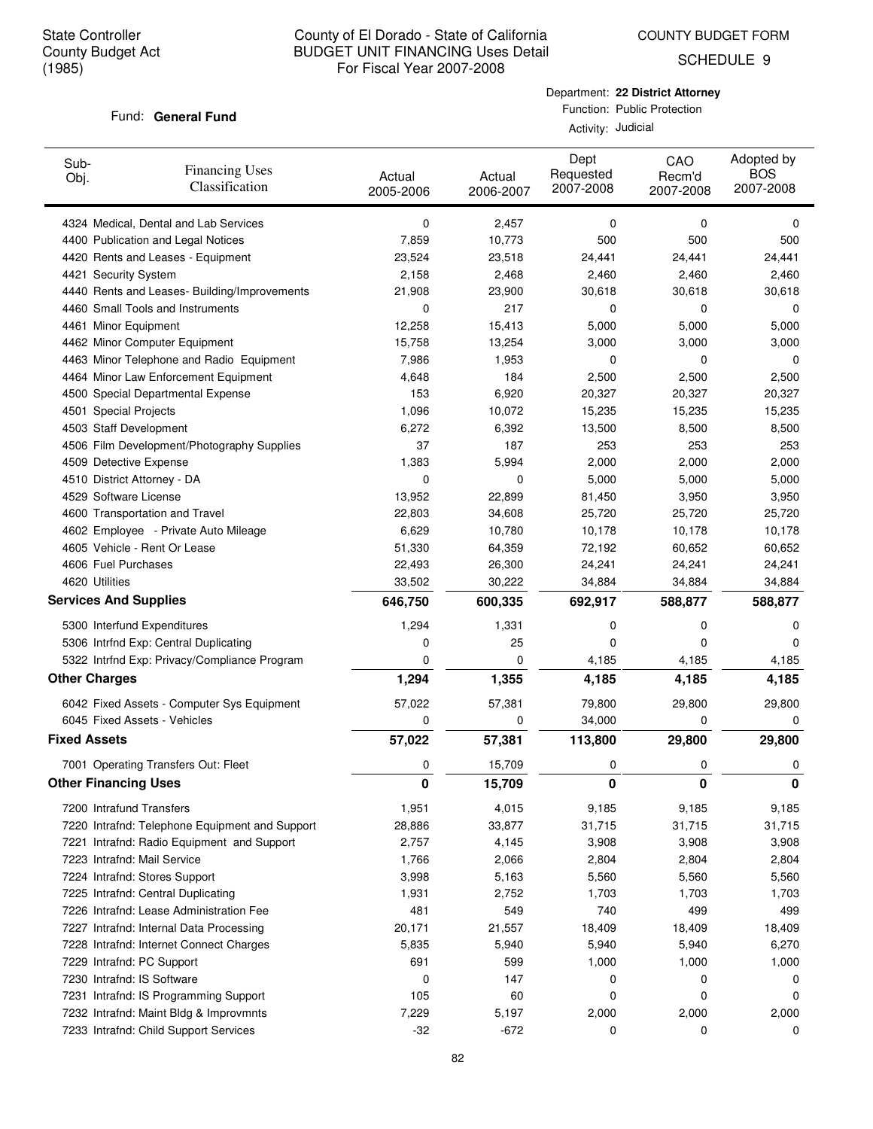COUNTY BUDGET FORM

SCHEDULE 9

### Fund: General Fund

Department: **22 District Attorney** Function: Public Protection

Activity: Judicial

| Sub-<br>Obj.                 | <b>Financing Uses</b><br>Classification        | Actual<br>2005-2006 | Actual<br>2006-2007 | Dept<br>Requested<br>2007-2008 | CAO<br>Recm'd<br>2007-2008 | Adopted by<br><b>BOS</b><br>2007-2008 |
|------------------------------|------------------------------------------------|---------------------|---------------------|--------------------------------|----------------------------|---------------------------------------|
|                              | 4324 Medical, Dental and Lab Services          | 0                   | 2,457               | 0                              | 0                          | 0                                     |
|                              | 4400 Publication and Legal Notices             | 7,859               | 10,773              | 500                            | 500                        | 500                                   |
|                              | 4420 Rents and Leases - Equipment              | 23,524              | 23,518              | 24,441                         | 24,441                     | 24,441                                |
| 4421 Security System         |                                                | 2,158               | 2,468               | 2,460                          | 2,460                      | 2,460                                 |
|                              | 4440 Rents and Leases- Building/Improvements   | 21,908              | 23,900              | 30,618                         | 30,618                     | 30,618                                |
|                              | 4460 Small Tools and Instruments               | 0                   | 217                 | 0                              | 0                          | 0                                     |
| 4461 Minor Equipment         |                                                | 12,258              | 15,413              | 5,000                          | 5,000                      | 5,000                                 |
|                              | 4462 Minor Computer Equipment                  | 15,758              | 13,254              | 3,000                          | 3,000                      | 3,000                                 |
|                              | 4463 Minor Telephone and Radio Equipment       | 7,986               | 1,953               | 0                              | 0                          | 0                                     |
|                              | 4464 Minor Law Enforcement Equipment           | 4,648               | 184                 | 2,500                          | 2,500                      | 2,500                                 |
|                              | 4500 Special Departmental Expense              | 153                 | 6,920               | 20,327                         | 20,327                     | 20,327                                |
| 4501 Special Projects        |                                                | 1,096               | 10,072              | 15,235                         | 15,235                     | 15,235                                |
| 4503 Staff Development       |                                                | 6,272               | 6,392               | 13,500                         | 8,500                      | 8,500                                 |
|                              | 4506 Film Development/Photography Supplies     | 37                  | 187                 | 253                            | 253                        | 253                                   |
| 4509 Detective Expense       |                                                | 1,383               | 5,994               | 2,000                          | 2,000                      | 2,000                                 |
|                              | 4510 District Attorney - DA                    | 0                   | 0                   | 5,000                          | 5,000                      | 5,000                                 |
| 4529 Software License        |                                                | 13,952              | 22,899              | 81,450                         | 3,950                      | 3,950                                 |
|                              | 4600 Transportation and Travel                 | 22,803              | 34,608              | 25,720                         | 25,720                     | 25,720                                |
|                              | 4602 Employee - Private Auto Mileage           | 6,629               | 10,780              | 10,178                         | 10,178                     | 10,178                                |
|                              | 4605 Vehicle - Rent Or Lease                   | 51,330              | 64,359              | 72,192                         | 60,652                     | 60,652                                |
| 4606 Fuel Purchases          |                                                | 22,493              | 26,300              | 24,241                         | 24,241                     | 24,241                                |
| 4620 Utilities               |                                                | 33,502              | 30,222              | 34,884                         | 34,884                     | 34,884                                |
| <b>Services And Supplies</b> |                                                | 646,750             | 600,335             | 692,917                        | 588,877                    | 588,877                               |
|                              | 5300 Interfund Expenditures                    | 1,294               | 1,331               | 0                              | 0                          | 0                                     |
|                              | 5306 Intrfnd Exp: Central Duplicating          | 0                   | 25                  | 0                              | 0                          | 0                                     |
|                              | 5322 Intrfnd Exp: Privacy/Compliance Program   | 0                   | 0                   | 4,185                          | 4,185                      | 4,185                                 |
| <b>Other Charges</b>         |                                                | 1,294               | 1,355               | 4,185                          | 4,185                      | 4,185                                 |
|                              | 6042 Fixed Assets - Computer Sys Equipment     | 57,022              | 57,381              | 79,800                         | 29,800                     | 29,800                                |
|                              | 6045 Fixed Assets - Vehicles                   | 0                   | 0                   | 34,000                         | 0                          | 0                                     |
| <b>Fixed Assets</b>          |                                                | 57,022              | 57,381              | 113,800                        | 29,800                     | 29,800                                |
|                              |                                                |                     |                     |                                |                            |                                       |
| <b>Other Financing Uses</b>  | 7001 Operating Transfers Out: Fleet            | 0<br>0              | 15,709<br>15,709    | 0<br>0                         | 0<br>0                     | 0<br>0                                |
|                              |                                                |                     |                     |                                |                            |                                       |
| 7200 Intrafund Transfers     |                                                | 1,951               | 4,015               | 9,185                          | 9,185                      | 9,185                                 |
|                              | 7220 Intrafnd: Telephone Equipment and Support | 28,886              | 33,877              | 31,715                         | 31,715                     | 31,715                                |
|                              | 7221 Intrafnd: Radio Equipment and Support     | 2,757               | 4,145               | 3,908                          | 3,908                      | 3,908                                 |
|                              | 7223 Intrafnd: Mail Service                    | 1,766               | 2,066               | 2,804                          | 2,804                      | 2,804                                 |
|                              | 7224 Intrafnd: Stores Support                  | 3,998               | 5,163               | 5,560                          | 5,560                      | 5,560                                 |
|                              | 7225 Intrafnd: Central Duplicating             | 1,931               | 2,752               | 1,703                          | 1,703                      | 1,703                                 |
|                              | 7226 Intrafnd: Lease Administration Fee        | 481                 | 549                 | 740                            | 499                        | 499                                   |
|                              | 7227 Intrafnd: Internal Data Processing        | 20,171              | 21,557              | 18,409                         | 18,409                     | 18,409                                |
|                              | 7228 Intrafnd: Internet Connect Charges        | 5,835               | 5,940               | 5,940                          | 5,940                      | 6,270                                 |
|                              | 7229 Intrafnd: PC Support                      | 691                 | 599                 | 1,000                          | 1,000                      | 1,000                                 |
|                              | 7230 Intrafnd: IS Software                     | 0                   | 147                 | 0                              | 0                          | 0                                     |
|                              | 7231 Intrafnd: IS Programming Support          | 105                 | 60                  | 0                              | 0                          | 0                                     |
|                              | 7232 Intrafnd: Maint Bldg & Improvmnts         | 7,229               | 5,197               | 2,000                          | 2,000                      | 2,000                                 |
|                              | 7233 Intrafnd: Child Support Services          | $-32$               | $-672$              | 0                              | 0                          | 0                                     |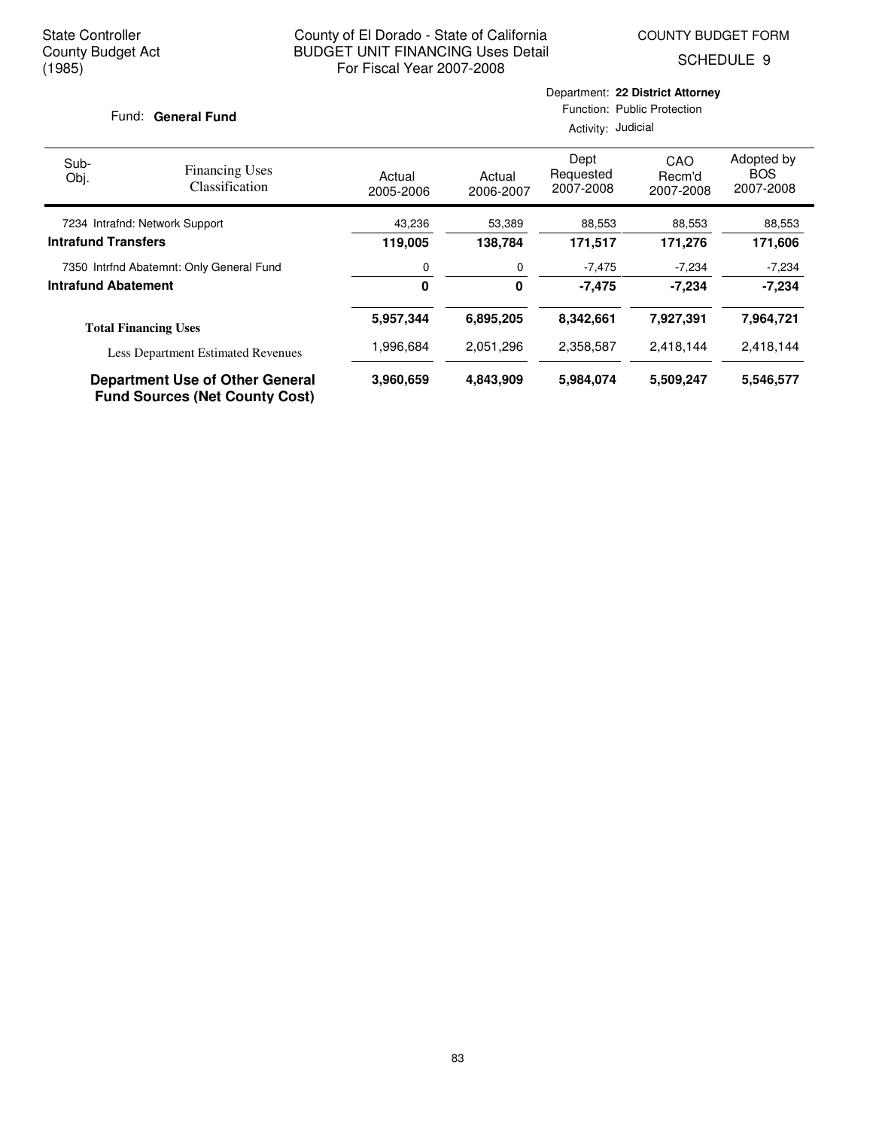Department: **22 District Attorney**

SCHEDULE 9

|                                           | Fund: General Fund                                                              |                     |                     |                                | Function: Public Protection<br>Activity: Judicial |                                       |  |  |  |
|-------------------------------------------|---------------------------------------------------------------------------------|---------------------|---------------------|--------------------------------|---------------------------------------------------|---------------------------------------|--|--|--|
| Sub-<br>Obj.                              | <b>Financing Uses</b><br>Classification                                         | Actual<br>2005-2006 | Actual<br>2006-2007 | Dept<br>Requested<br>2007-2008 | CAO<br>Recm'd<br>2007-2008                        | Adopted by<br><b>BOS</b><br>2007-2008 |  |  |  |
| 7234 Intrafnd: Network Support            |                                                                                 | 43,236              | 53,389              | 88,553                         | 88,553                                            | 88,553                                |  |  |  |
| <b>Intrafund Transfers</b>                |                                                                                 | 119,005             | 138,784             | 171,517                        | 171,276                                           | 171,606                               |  |  |  |
| 7350 Intrfnd Abatemnt: Only General Fund  |                                                                                 | 0                   | 0                   | $-7,475$                       | $-7,234$                                          | $-7,234$                              |  |  |  |
| <b>Intrafund Abatement</b>                |                                                                                 | 0<br>0<br>$-7,475$  |                     | $-7,234$                       | $-7,234$                                          |                                       |  |  |  |
|                                           | <b>Total Financing Uses</b>                                                     | 5,957,344           | 6,895,205           | 8,342,661                      | 7,927,391                                         | 7,964,721                             |  |  |  |
| <b>Less Department Estimated Revenues</b> |                                                                                 | 1,996,684           | 2,051,296           | 2,358,587                      | 2,418,144                                         | 2,418,144                             |  |  |  |
|                                           | <b>Department Use of Other General</b><br><b>Fund Sources (Net County Cost)</b> | 3,960,659           | 4,843,909           | 5,984,074                      | 5,509,247                                         | 5,546,577                             |  |  |  |

83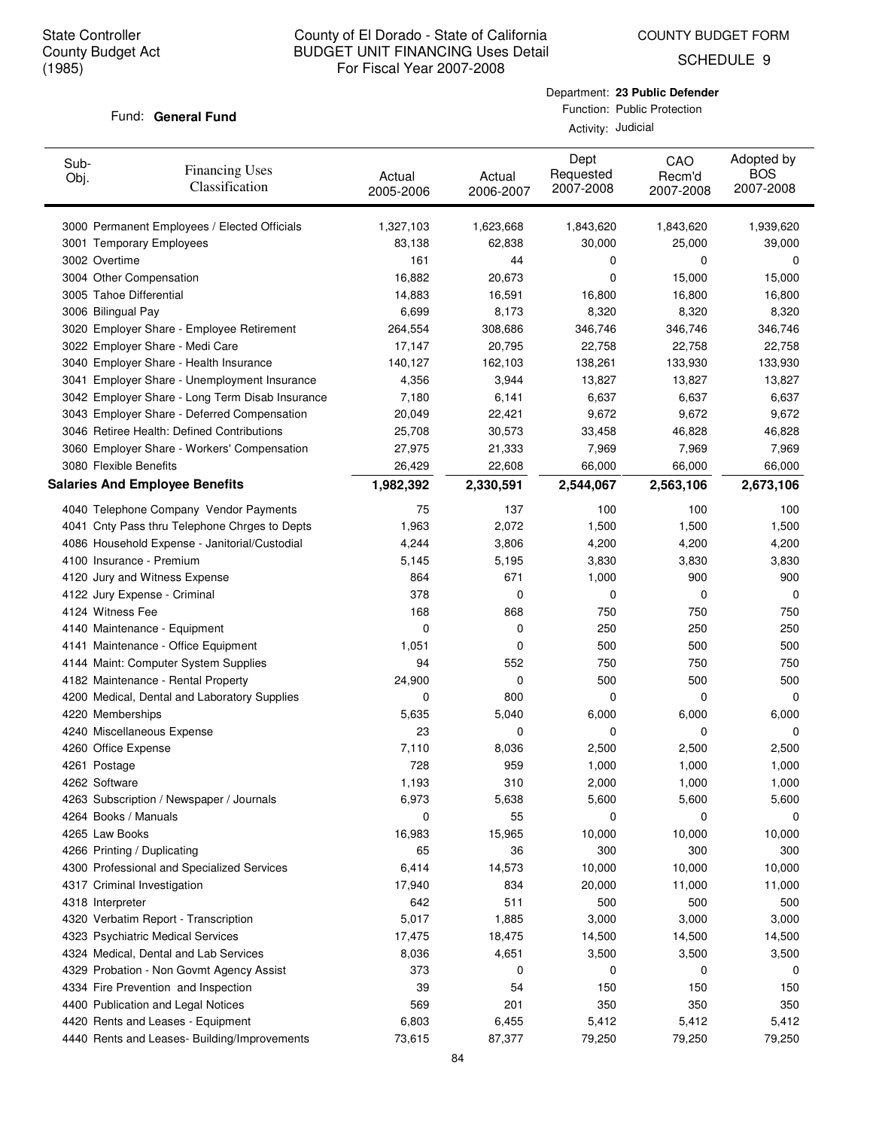COUNTY BUDGET FORM

SCHEDULE 9

### Fund: General Fund

Activity: Judicial

| Sub-<br>Obj. | <b>Financing Uses</b><br>Classification         | Actual<br>2005-2006 | Actual<br>2006-2007 | Dept<br>Requested<br>2007-2008 | CAO<br>Recm'd<br>2007-2008 | Adopted by<br><b>BOS</b><br>2007-2008 |
|--------------|-------------------------------------------------|---------------------|---------------------|--------------------------------|----------------------------|---------------------------------------|
|              | 3000 Permanent Employees / Elected Officials    | 1,327,103           | 1,623,668           | 1,843,620                      | 1,843,620                  | 1,939,620                             |
|              | 3001 Temporary Employees                        | 83,138              | 62,838              | 30,000                         | 25,000                     | 39,000                                |
|              | 3002 Overtime                                   | 161                 | 44                  | 0                              | 0                          | 0                                     |
|              | 3004 Other Compensation                         | 16,882              | 20,673              | 0                              | 15,000                     | 15,000                                |
|              | 3005 Tahoe Differential                         | 14,883              | 16,591              | 16,800                         | 16,800                     | 16,800                                |
|              | 3006 Bilingual Pay                              | 6,699               | 8,173               | 8,320                          | 8,320                      | 8,320                                 |
|              | 3020 Employer Share - Employee Retirement       | 264,554             | 308,686             | 346,746                        | 346,746                    | 346,746                               |
|              | 3022 Employer Share - Medi Care                 | 17,147              | 20,795              | 22,758                         | 22,758                     | 22,758                                |
|              | 3040 Employer Share - Health Insurance          | 140,127             | 162,103             | 138,261                        | 133,930                    | 133,930                               |
|              | 3041 Employer Share - Unemployment Insurance    | 4,356               | 3,944               | 13,827                         | 13,827                     | 13,827                                |
|              | 3042 Employer Share - Long Term Disab Insurance | 7,180               | 6,141               | 6,637                          | 6,637                      | 6,637                                 |
|              | 3043 Employer Share - Deferred Compensation     | 20,049              | 22,421              | 9,672                          | 9,672                      | 9,672                                 |
|              | 3046 Retiree Health: Defined Contributions      | 25,708              | 30,573              | 33,458                         | 46,828                     | 46,828                                |
|              | 3060 Employer Share - Workers' Compensation     | 27,975              | 21,333              | 7,969                          | 7,969                      | 7,969                                 |
|              | 3080 Flexible Benefits                          | 26,429              | 22,608              | 66,000                         | 66,000                     | 66,000                                |
|              | <b>Salaries And Employee Benefits</b>           | 1,982,392           | 2,330,591           | 2,544,067                      | 2,563,106                  | 2,673,106                             |
|              | 4040 Telephone Company Vendor Payments          | 75                  | 137                 | 100                            | 100                        | 100                                   |
|              | 4041 Cnty Pass thru Telephone Chrges to Depts   | 1,963               | 2,072               | 1,500                          | 1,500                      | 1,500                                 |
|              | 4086 Household Expense - Janitorial/Custodial   | 4,244               | 3,806               | 4,200                          | 4,200                      | 4,200                                 |
|              | 4100 Insurance - Premium                        | 5,145               | 5,195               | 3,830                          | 3,830                      | 3,830                                 |
|              | 4120 Jury and Witness Expense                   | 864                 | 671                 | 1,000                          | 900                        | 900                                   |
|              | 4122 Jury Expense - Criminal                    | 378                 | 0                   | 0                              | 0                          | 0                                     |
|              | 4124 Witness Fee                                | 168                 | 868                 | 750                            | 750                        | 750                                   |
|              | 4140 Maintenance - Equipment                    | 0                   | 0                   | 250                            | 250                        | 250                                   |
|              | 4141 Maintenance - Office Equipment             | 1,051               | 0                   | 500                            | 500                        | 500                                   |
|              | 4144 Maint: Computer System Supplies            | 94                  | 552                 | 750                            | 750                        | 750                                   |
|              | 4182 Maintenance - Rental Property              | 24,900              | 0                   | 500                            | 500                        | 500                                   |
|              | 4200 Medical, Dental and Laboratory Supplies    | 0                   | 800                 | 0                              | 0                          | 0                                     |
|              | 4220 Memberships                                | 5,635               | 5,040               | 6,000                          | 6,000                      | 6,000                                 |
|              | 4240 Miscellaneous Expense                      | 23                  | 0                   | 0                              | 0                          | 0                                     |
|              | 4260 Office Expense                             | 7,110               | 8,036               | 2,500                          | 2,500                      | 2,500                                 |
|              | 4261 Postage                                    | 728                 | 959                 | 1,000                          | 1,000                      | 1,000                                 |
|              | 4262 Software                                   | 1,193               | 310                 | 2,000                          | 1,000                      | 1,000                                 |
|              | 4263 Subscription / Newspaper / Journals        | 6,973               | 5,638               | 5,600                          | 5,600                      | 5,600                                 |
|              | 4264 Books / Manuals                            | 0                   | 55                  | 0                              | 0                          | 0                                     |
|              | 4265 Law Books                                  | 16,983              | 15,965              | 10,000                         | 10,000                     | 10,000                                |
|              | 4266 Printing / Duplicating                     | 65                  | 36                  | 300                            | 300                        | 300                                   |
|              | 4300 Professional and Specialized Services      | 6,414               | 14,573              | 10,000                         | 10,000                     | 10,000                                |
|              | 4317 Criminal Investigation                     | 17,940              | 834                 | 20,000                         | 11,000                     | 11,000                                |
|              | 4318 Interpreter                                | 642                 | 511                 | 500                            | 500                        | 500                                   |
|              | 4320 Verbatim Report - Transcription            | 5,017               | 1,885               | 3,000                          | 3,000                      | 3,000                                 |
|              | 4323 Psychiatric Medical Services               | 17,475              | 18,475              | 14,500                         | 14,500                     | 14,500                                |
|              | 4324 Medical, Dental and Lab Services           | 8,036               | 4,651               | 3,500                          | 3,500                      | 3,500                                 |
|              | 4329 Probation - Non Govmt Agency Assist        | 373                 | 0                   | 0                              | 0                          | 0                                     |
|              | 4334 Fire Prevention and Inspection             | 39                  | 54                  | 150                            | 150                        | 150                                   |
|              | 4400 Publication and Legal Notices              | 569                 | 201                 | 350                            | 350                        | 350                                   |
|              | 4420 Rents and Leases - Equipment               | 6,803               | 6,455               | 5,412                          | 5,412                      | 5,412                                 |
|              | 4440 Rents and Leases- Building/Improvements    | 73,615              | 87,377              | 79,250                         | 79,250                     | 79,250                                |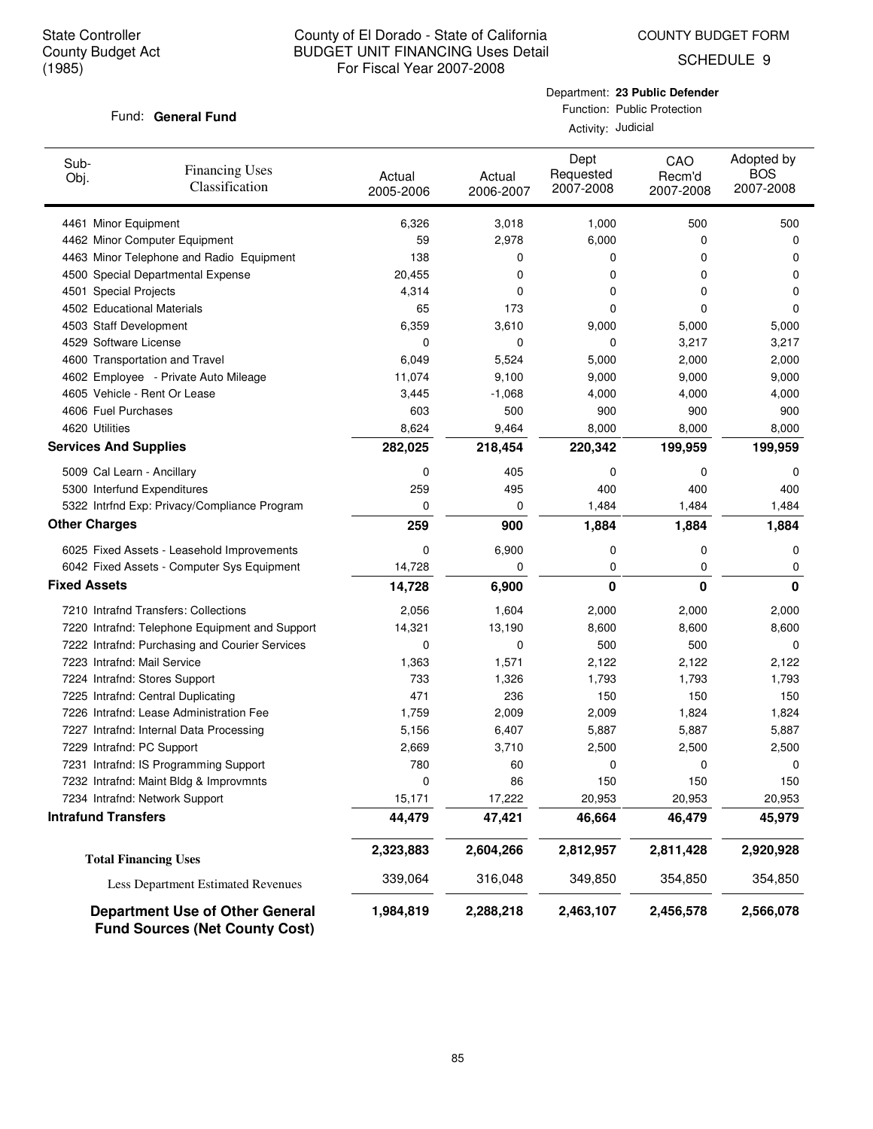COUNTY BUDGET FORM

SCHEDULE 9

### Fund: General Fund

Department: **23 Public Defender** Function: Public Protection

Activity: Judicial

| Sub-<br>Obj.        | <b>Financing Uses</b><br>Classification                                         | Actual<br>2005-2006 | Actual<br>2006-2007 | Dept<br>Requested<br>2007-2008 | CAO<br>Recm'd<br>2007-2008 | Adopted by<br><b>BOS</b><br>2007-2008 |
|---------------------|---------------------------------------------------------------------------------|---------------------|---------------------|--------------------------------|----------------------------|---------------------------------------|
|                     | 4461 Minor Equipment                                                            | 6,326               | 3,018               | 1,000                          | 500                        | 500                                   |
|                     | 4462 Minor Computer Equipment                                                   | 59                  | 2,978               | 6,000                          | 0                          | 0                                     |
|                     | 4463 Minor Telephone and Radio Equipment                                        | 138                 | 0                   | 0                              | 0                          | 0                                     |
|                     | 4500 Special Departmental Expense                                               | 20,455              | 0                   | 0                              | 0                          | 0                                     |
|                     | 4501 Special Projects                                                           | 4,314               | 0                   | 0                              | 0                          | 0                                     |
|                     | 4502 Educational Materials                                                      | 65                  | 173                 | 0                              | 0                          | 0                                     |
|                     | 4503 Staff Development                                                          | 6,359               | 3,610               | 9,000                          | 5,000                      | 5,000                                 |
|                     | 4529 Software License                                                           | 0                   | 0                   | 0                              | 3,217                      | 3,217                                 |
|                     | 4600 Transportation and Travel                                                  | 6,049               | 5,524               | 5,000                          | 2,000                      | 2,000                                 |
|                     | 4602 Employee - Private Auto Mileage                                            | 11,074              | 9,100               | 9,000                          | 9,000                      | 9,000                                 |
|                     | 4605 Vehicle - Rent Or Lease                                                    | 3,445               | $-1,068$            | 4,000                          | 4,000                      | 4,000                                 |
|                     | 4606 Fuel Purchases                                                             | 603                 | 500                 | 900                            | 900                        | 900                                   |
|                     | 4620 Utilities                                                                  | 8,624               | 9,464               | 8,000                          | 8,000                      | 8,000                                 |
|                     | <b>Services And Supplies</b>                                                    | 282,025             | 218,454             | 220,342                        | 199,959                    | 199,959                               |
|                     | 5009 Cal Learn - Ancillary                                                      | 0                   | 405                 | 0                              | 0                          | 0                                     |
|                     | 5300 Interfund Expenditures                                                     | 259                 | 495                 | 400                            | 400                        | 400                                   |
|                     | 5322 Intrfnd Exp: Privacy/Compliance Program                                    | 0                   | 0                   | 1,484                          | 1,484                      | 1,484                                 |
|                     | <b>Other Charges</b>                                                            | 259                 | 900                 | 1,884                          | 1,884                      | 1,884                                 |
|                     | 6025 Fixed Assets - Leasehold Improvements                                      | 0                   | 6,900               | 0                              | 0                          | 0                                     |
|                     | 6042 Fixed Assets - Computer Sys Equipment                                      | 14,728              | 0                   | 0                              | 0                          | 0                                     |
| <b>Fixed Assets</b> |                                                                                 | 14,728              | 6,900               | 0                              | 0                          | $\bf{0}$                              |
|                     | 7210 Intrafnd Transfers: Collections                                            | 2,056               | 1,604               | 2,000                          | 2,000                      | 2,000                                 |
|                     | 7220 Intrafnd: Telephone Equipment and Support                                  | 14,321              | 13,190              | 8,600                          | 8,600                      | 8,600                                 |
|                     | 7222 Intrafnd: Purchasing and Courier Services                                  | 0                   | 0                   | 500                            | 500                        | 0                                     |
|                     | 7223 Intrafnd: Mail Service                                                     | 1,363               | 1,571               | 2,122                          | 2,122                      | 2,122                                 |
|                     | 7224 Intrafnd: Stores Support                                                   | 733                 | 1,326               | 1,793                          | 1,793                      | 1,793                                 |
|                     | 7225 Intrafnd: Central Duplicating                                              | 471                 | 236                 | 150                            | 150                        | 150                                   |
|                     | 7226 Intrafnd: Lease Administration Fee                                         | 1,759               | 2,009               | 2,009                          | 1,824                      | 1,824                                 |
|                     | 7227 Intrafnd: Internal Data Processing                                         | 5,156               | 6,407               | 5,887                          | 5,887                      | 5,887                                 |
|                     | 7229 Intrafnd: PC Support                                                       | 2,669               | 3,710               | 2,500                          | 2,500                      | 2,500                                 |
|                     | 7231 Intrafnd: IS Programming Support                                           | 780                 | 60                  | 0                              | 0                          | 0                                     |
|                     | 7232 Intrafnd: Maint Bldg & Improvmnts                                          | 0                   | 86                  | 150                            | 150                        | 150                                   |
|                     | 7234 Intrafnd: Network Support                                                  | 15,171              | 17,222              | 20,953                         | 20,953                     | 20,953                                |
|                     | <b>Intrafund Transfers</b>                                                      | 44,479              | 47,421              | 46,664                         | 46,479                     | 45,979                                |
|                     | <b>Total Financing Uses</b>                                                     | 2,323,883           | 2,604,266           | 2,812,957                      | 2,811,428                  | 2,920,928                             |
|                     | <b>Less Department Estimated Revenues</b>                                       | 339,064             | 316,048             | 349,850                        | 354,850                    | 354,850                               |
|                     | <b>Department Use of Other General</b><br><b>Fund Sources (Net County Cost)</b> | 1,984,819           | 2,288,218           | 2,463,107                      | 2,456,578                  | 2,566,078                             |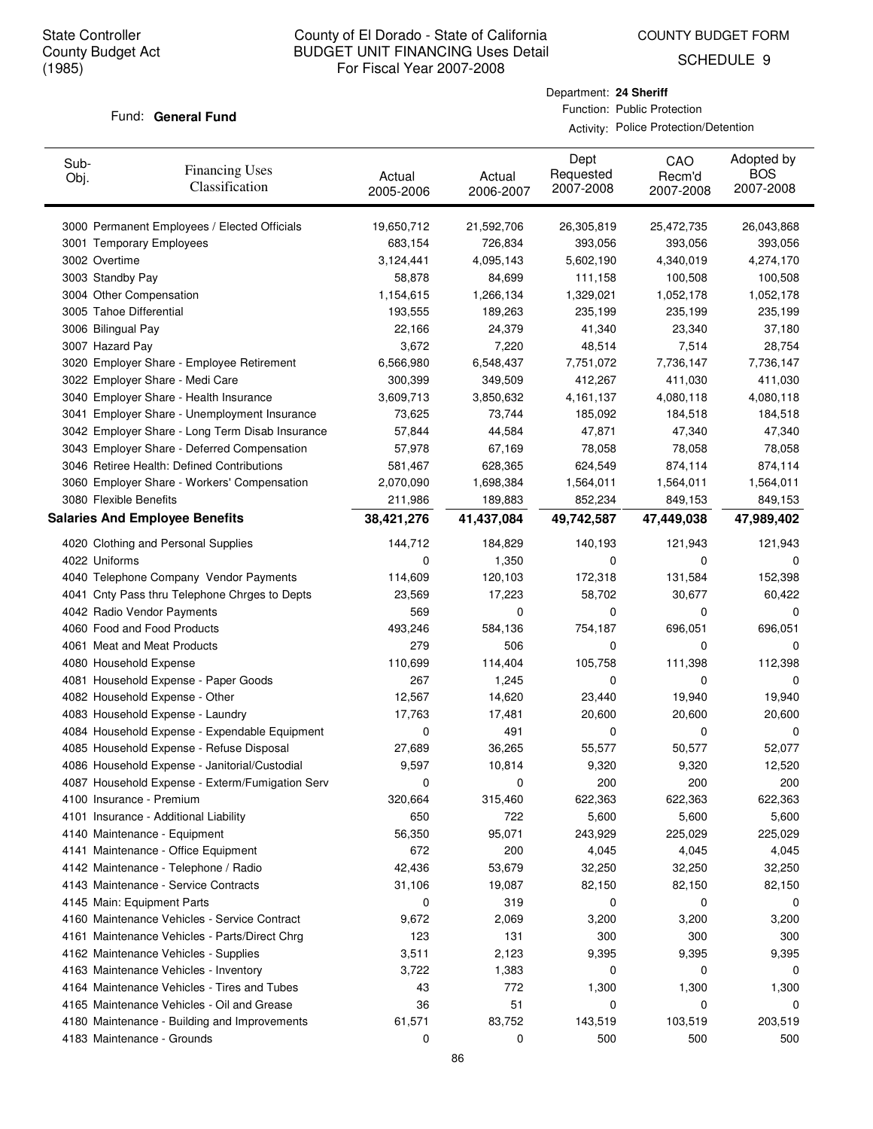COUNTY BUDGET FORM

SCHEDULE 9

### Fund: General Fund

Department: **24 Sheriff** Function: Public Protection

Activity: Police Protection/Detention

| Sub-<br>Obj. | <b>Financing Uses</b><br>Classification         | Actual<br>2005-2006 | Actual<br>2006-2007 | Dept<br>Requested<br>2007-2008 | CAO<br>Recm'd<br>2007-2008 | Adopted by<br><b>BOS</b><br>2007-2008 |
|--------------|-------------------------------------------------|---------------------|---------------------|--------------------------------|----------------------------|---------------------------------------|
|              | 3000 Permanent Employees / Elected Officials    | 19,650,712          | 21,592,706          | 26,305,819                     | 25,472,735                 | 26,043,868                            |
|              | 3001 Temporary Employees                        | 683,154             | 726,834             | 393,056                        | 393,056                    | 393,056                               |
|              | 3002 Overtime                                   | 3,124,441           | 4,095,143           | 5,602,190                      | 4,340,019                  | 4,274,170                             |
|              | 3003 Standby Pay                                | 58,878              | 84,699              | 111,158                        | 100,508                    | 100,508                               |
|              | 3004 Other Compensation                         | 1,154,615           | 1,266,134           | 1,329,021                      | 1,052,178                  | 1,052,178                             |
|              | 3005 Tahoe Differential                         | 193,555             | 189,263             | 235,199                        | 235,199                    | 235,199                               |
|              | 3006 Bilingual Pay                              | 22,166              | 24,379              | 41,340                         | 23,340                     | 37,180                                |
|              | 3007 Hazard Pay                                 | 3,672               | 7,220               | 48,514                         | 7,514                      | 28,754                                |
|              | 3020 Employer Share - Employee Retirement       | 6,566,980           | 6,548,437           | 7,751,072                      | 7,736,147                  | 7,736,147                             |
|              | 3022 Employer Share - Medi Care                 | 300,399             | 349,509             | 412,267                        | 411,030                    | 411,030                               |
|              | 3040 Employer Share - Health Insurance          | 3,609,713           | 3,850,632           | 4, 161, 137                    | 4,080,118                  | 4,080,118                             |
|              | 3041 Employer Share - Unemployment Insurance    | 73,625              | 73,744              | 185,092                        | 184,518                    | 184,518                               |
|              | 3042 Employer Share - Long Term Disab Insurance | 57,844              | 44,584              | 47,871                         | 47,340                     | 47,340                                |
|              | 3043 Employer Share - Deferred Compensation     | 57,978              | 67,169              | 78,058                         | 78,058                     | 78,058                                |
|              | 3046 Retiree Health: Defined Contributions      | 581,467             | 628,365             | 624,549                        | 874,114                    | 874,114                               |
|              | 3060 Employer Share - Workers' Compensation     | 2,070,090           | 1,698,384           | 1,564,011                      | 1,564,011                  | 1,564,011                             |
|              | 3080 Flexible Benefits                          | 211,986             | 189,883             | 852,234                        | 849,153                    | 849,153                               |
|              | <b>Salaries And Employee Benefits</b>           | 38,421,276          | 41,437,084          | 49,742,587                     | 47,449,038                 | 47,989,402                            |
|              | 4020 Clothing and Personal Supplies             | 144,712             | 184,829             | 140,193                        | 121,943                    | 121,943                               |
|              | 4022 Uniforms                                   | 0                   | 1,350               | 0                              | 0                          | 0                                     |
|              | 4040 Telephone Company Vendor Payments          | 114,609             | 120,103             | 172,318                        | 131,584                    | 152,398                               |
|              | 4041 Cnty Pass thru Telephone Chrges to Depts   | 23,569              | 17,223              | 58,702                         | 30,677                     | 60,422                                |
|              | 4042 Radio Vendor Payments                      | 569                 | 0                   | 0                              | 0                          | 0                                     |
|              | 4060 Food and Food Products                     | 493,246             | 584,136             | 754,187                        | 696,051                    | 696,051                               |
|              | 4061 Meat and Meat Products                     | 279                 | 506                 | 0                              | 0                          | 0                                     |
|              | 4080 Household Expense                          | 110,699             | 114,404             | 105,758                        | 111,398                    | 112,398                               |
|              | 4081 Household Expense - Paper Goods            | 267                 | 1,245               | 0                              | 0                          | 0                                     |
|              | 4082 Household Expense - Other                  | 12,567              | 14,620              | 23,440                         | 19,940                     | 19,940                                |
|              | 4083 Household Expense - Laundry                | 17,763              | 17,481              | 20,600                         | 20,600                     | 20,600                                |
|              | 4084 Household Expense - Expendable Equipment   | 0                   | 491                 | 0                              | 0                          | 0                                     |
|              | 4085 Household Expense - Refuse Disposal        | 27,689              | 36,265              | 55,577                         | 50,577                     | 52,077                                |
|              | 4086 Household Expense - Janitorial/Custodial   | 9,597               | 10,814              | 9,320                          | 9,320                      | 12,520                                |
|              | 4087 Household Expense - Exterm/Fumigation Serv | 0                   | 0                   | 200                            | 200                        | 200                                   |
|              | 4100 Insurance - Premium                        | 320,664             | 315,460             | 622,363                        | 622,363                    | 622,363                               |
|              | 4101 Insurance - Additional Liability           | 650                 | 722                 | 5,600                          | 5,600                      | 5,600                                 |
|              | 4140 Maintenance - Equipment                    | 56,350              | 95,071              | 243,929                        | 225,029                    | 225,029                               |
|              | 4141 Maintenance - Office Equipment             | 672                 | 200                 | 4,045                          | 4,045                      | 4,045                                 |
|              | 4142 Maintenance - Telephone / Radio            | 42,436              | 53,679              | 32,250                         | 32,250                     | 32,250                                |
|              | 4143 Maintenance - Service Contracts            | 31,106              | 19,087              | 82,150                         | 82,150                     | 82,150                                |
|              | 4145 Main: Equipment Parts                      | 0                   | 319                 | 0                              | 0                          | 0                                     |
|              | 4160 Maintenance Vehicles - Service Contract    | 9,672               | 2,069               | 3,200                          | 3,200                      | 3,200                                 |
|              | 4161 Maintenance Vehicles - Parts/Direct Chrg   | 123                 | 131                 | 300                            | 300                        | 300                                   |
|              | 4162 Maintenance Vehicles - Supplies            | 3,511               | 2,123               | 9,395                          | 9,395                      | 9,395                                 |
|              | 4163 Maintenance Vehicles - Inventory           | 3,722               | 1,383               | 0                              | 0                          | 0                                     |
|              | 4164 Maintenance Vehicles - Tires and Tubes     | 43                  | 772                 | 1,300                          | 1,300                      | 1,300                                 |
|              | 4165 Maintenance Vehicles - Oil and Grease      | 36                  | 51                  | 0                              | 0                          | 0                                     |
|              | 4180 Maintenance - Building and Improvements    | 61,571              | 83,752              | 143,519                        | 103,519                    | 203,519                               |
|              | 4183 Maintenance - Grounds                      | 0                   | 0                   | 500                            | 500                        | 500                                   |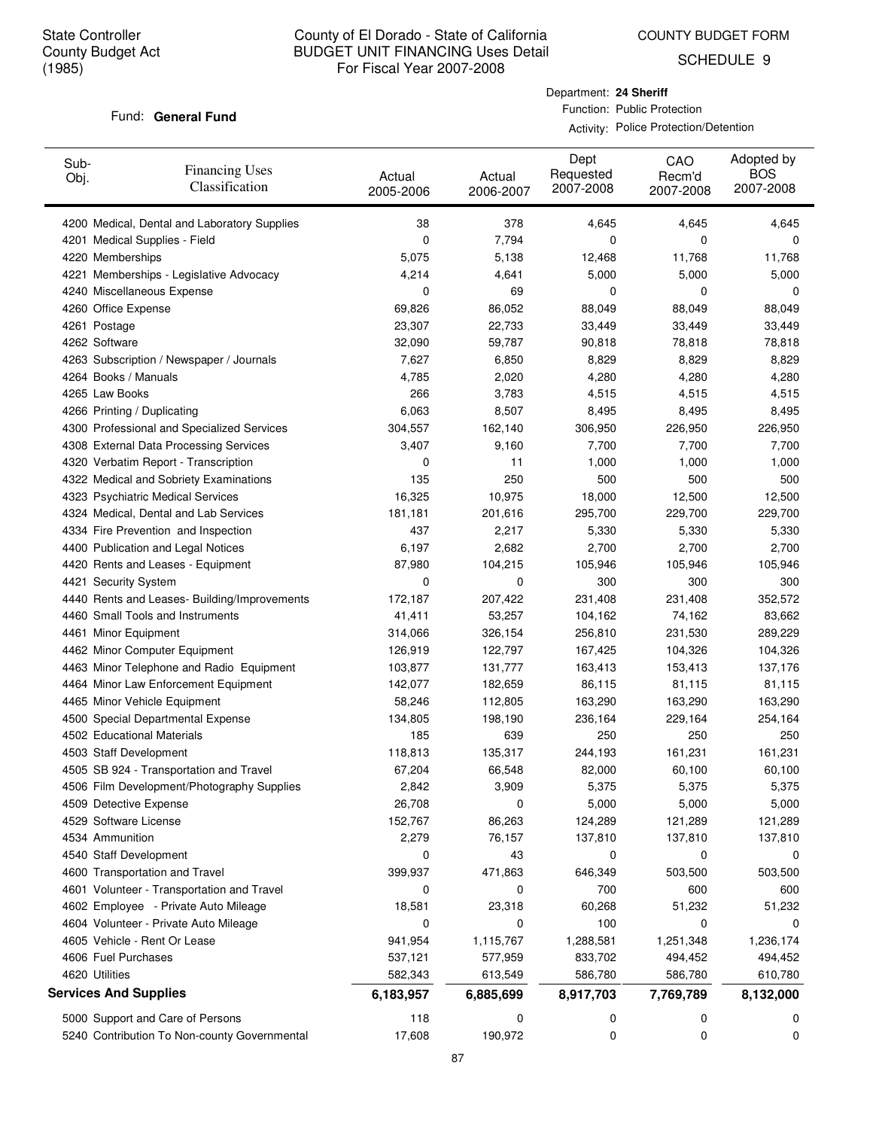COUNTY BUDGET FORM

SCHEDULE 9

### Fund: General Fund

Department: **24 Sheriff** Function: Public Protection

Activity: Police Protection/Detention

| Sub-<br>Obj. | <b>Financing Uses</b><br>Classification      | Actual<br>2005-2006 | Actual<br>2006-2007 | Dept<br>Requested<br>2007-2008 | CAO<br>Recm'd<br>2007-2008 | Adopted by<br><b>BOS</b><br>2007-2008 |
|--------------|----------------------------------------------|---------------------|---------------------|--------------------------------|----------------------------|---------------------------------------|
|              | 4200 Medical, Dental and Laboratory Supplies | 38                  | 378                 | 4,645                          | 4,645                      | 4,645                                 |
|              | 4201 Medical Supplies - Field                | 0                   | 7,794               | 0                              | 0                          | 0                                     |
|              | 4220 Memberships                             | 5,075               | 5,138               | 12,468                         | 11,768                     | 11,768                                |
|              | 4221 Memberships - Legislative Advocacy      | 4,214               | 4,641               | 5,000                          | 5,000                      | 5,000                                 |
|              | 4240 Miscellaneous Expense                   | 0                   | 69                  | 0                              | 0                          | 0                                     |
|              | 4260 Office Expense                          | 69,826              | 86,052              | 88,049                         | 88,049                     | 88,049                                |
|              | 4261 Postage                                 | 23,307              | 22,733              | 33,449                         | 33,449                     | 33,449                                |
|              | 4262 Software                                | 32,090              | 59,787              | 90,818                         | 78,818                     | 78,818                                |
|              | 4263 Subscription / Newspaper / Journals     | 7,627               | 6,850               | 8,829                          | 8,829                      | 8,829                                 |
|              | 4264 Books / Manuals                         | 4,785               | 2,020               | 4,280                          | 4,280                      | 4,280                                 |
|              | 4265 Law Books                               | 266                 | 3,783               | 4,515                          | 4,515                      | 4,515                                 |
|              | 4266 Printing / Duplicating                  | 6,063               | 8,507               | 8,495                          | 8,495                      | 8,495                                 |
|              | 4300 Professional and Specialized Services   | 304,557             | 162,140             | 306,950                        | 226,950                    | 226,950                               |
|              | 4308 External Data Processing Services       | 3,407               | 9,160               | 7,700                          | 7,700                      | 7,700                                 |
|              | 4320 Verbatim Report - Transcription         | 0                   | 11                  | 1,000                          | 1,000                      | 1,000                                 |
|              | 4322 Medical and Sobriety Examinations       | 135                 | 250                 | 500                            | 500                        | 500                                   |
|              | 4323 Psychiatric Medical Services            | 16,325              | 10,975              | 18,000                         | 12,500                     | 12,500                                |
|              | 4324 Medical, Dental and Lab Services        | 181,181             | 201,616             | 295,700                        | 229,700                    | 229,700                               |
|              | 4334 Fire Prevention and Inspection          | 437                 | 2,217               | 5,330                          | 5,330                      | 5,330                                 |
|              | 4400 Publication and Legal Notices           | 6,197               | 2,682               | 2,700                          | 2,700                      | 2,700                                 |
|              | 4420 Rents and Leases - Equipment            | 87,980              | 104,215             | 105,946                        | 105,946                    | 105,946                               |
|              | 4421 Security System                         | 0                   | 0                   | 300                            | 300                        | 300                                   |
|              | 4440 Rents and Leases- Building/Improvements | 172,187             | 207,422             | 231,408                        | 231,408                    | 352,572                               |
|              | 4460 Small Tools and Instruments             | 41,411              | 53,257              | 104,162                        | 74,162                     | 83,662                                |
|              | 4461 Minor Equipment                         | 314,066             | 326,154             | 256,810                        | 231,530                    | 289,229                               |
|              | 4462 Minor Computer Equipment                | 126,919             | 122,797             | 167,425                        | 104,326                    | 104,326                               |
|              | 4463 Minor Telephone and Radio Equipment     | 103,877             | 131,777             | 163,413                        | 153,413                    | 137,176                               |
|              | 4464 Minor Law Enforcement Equipment         | 142,077             | 182,659             | 86,115                         | 81,115                     | 81,115                                |
|              | 4465 Minor Vehicle Equipment                 | 58,246              | 112,805             | 163,290                        | 163,290                    | 163,290                               |
|              | 4500 Special Departmental Expense            | 134,805             | 198,190             | 236,164                        | 229,164                    | 254,164                               |
|              | 4502 Educational Materials                   | 185                 | 639                 | 250                            | 250                        | 250                                   |
|              | 4503 Staff Development                       | 118,813             | 135,317             | 244,193                        | 161,231                    | 161,231                               |
|              | 4505 SB 924 - Transportation and Travel      | 67,204              | 66,548              | 82,000                         | 60,100                     | 60,100                                |
|              | 4506 Film Development/Photography Supplies   | 2,842               | 3,909               | 5,375                          | 5,375                      | 5,375                                 |
|              | 4509 Detective Expense                       | 26,708              | 0                   | 5,000                          | 5,000                      | 5,000                                 |
|              | 4529 Software License                        | 152,767             | 86,263              | 124,289                        | 121,289                    | 121,289                               |
|              | 4534 Ammunition                              | 2,279               | 76,157              | 137,810                        | 137,810                    | 137,810                               |
|              | 4540 Staff Development                       | 0                   | 43                  | 0                              | 0                          | 0                                     |
|              | 4600 Transportation and Travel               | 399,937             | 471,863             | 646,349                        | 503,500                    | 503,500                               |
|              | 4601 Volunteer - Transportation and Travel   | 0                   | 0                   | 700                            | 600                        | 600                                   |
|              | 4602 Employee - Private Auto Mileage         | 18,581              | 23,318              | 60,268                         | 51,232                     | 51,232                                |
|              | 4604 Volunteer - Private Auto Mileage        | 0                   | 0                   | 100                            | 0                          | 0                                     |
|              | 4605 Vehicle - Rent Or Lease                 | 941,954             | 1,115,767           | 1,288,581                      | 1,251,348                  | 1,236,174                             |
|              | 4606 Fuel Purchases                          | 537,121             | 577,959             | 833,702                        | 494,452                    | 494,452                               |
|              | 4620 Utilities                               | 582,343             | 613,549             | 586,780                        | 586,780                    | 610,780                               |
|              | <b>Services And Supplies</b>                 | 6,183,957           | 6,885,699           | 8,917,703                      | 7,769,789                  | 8,132,000                             |
|              | 5000 Support and Care of Persons             | 118                 | 0                   | 0                              | 0                          | 0                                     |
|              | 5240 Contribution To Non-county Governmental | 17,608              | 190,972             | 0                              | 0                          | 0                                     |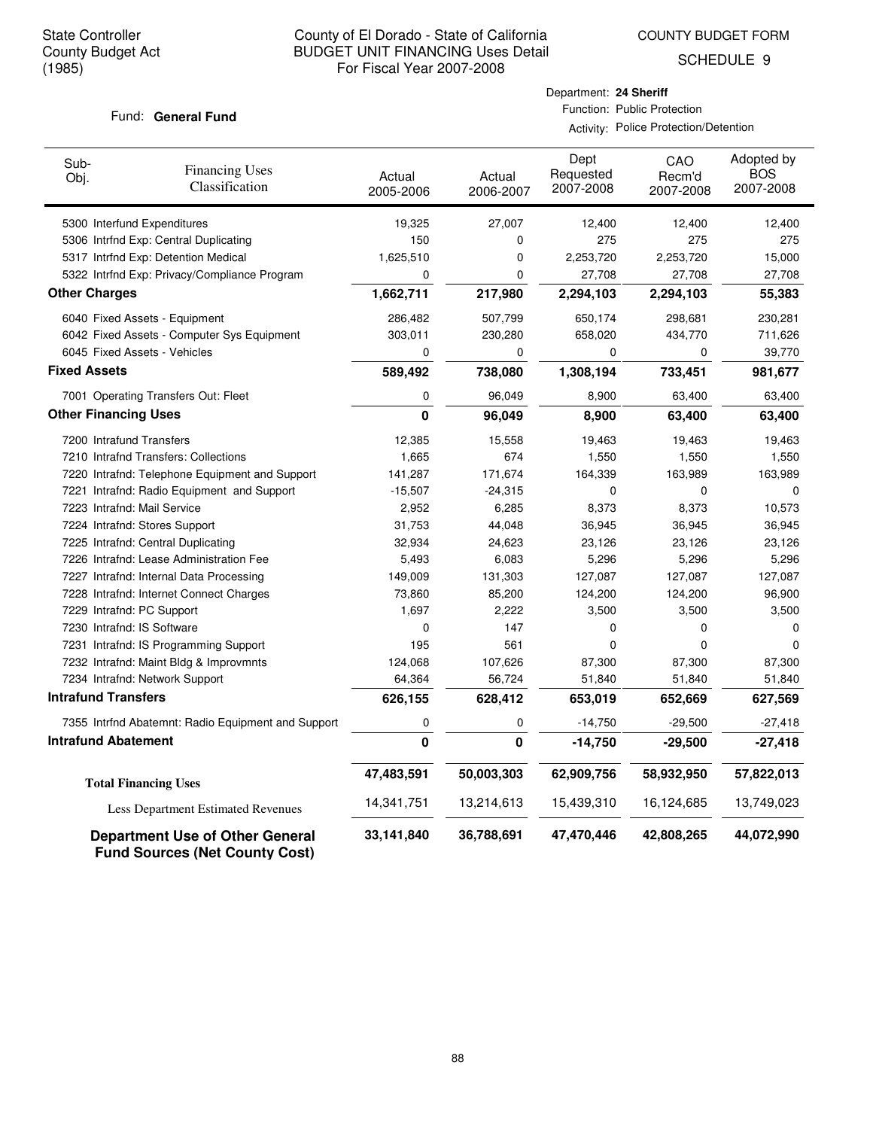## County of El Dorado - State of California BUDGET UNIT FINANCING Uses Detail For Fiscal Year 2007-2008

COUNTY BUDGET FORM

SCHEDULE 9

### Fund: General Fund

|                             |                                                | Department: 24 Sheriff |                                       |                                |                            |                                       |
|-----------------------------|------------------------------------------------|------------------------|---------------------------------------|--------------------------------|----------------------------|---------------------------------------|
|                             | Fund: General Fund                             |                        | Function: Public Protection           |                                |                            |                                       |
|                             |                                                |                        | Activity: Police Protection/Detention |                                |                            |                                       |
| Sub-<br>Obj.                | <b>Financing Uses</b><br><b>Classification</b> | Actual<br>2005-2006    | Actual<br>2006-2007                   | Dept<br>Requested<br>2007-2008 | CAO<br>Recm'd<br>2007-2008 | Adopted by<br><b>BOS</b><br>2007-2008 |
| 5300 Interfund Expenditures |                                                | 19,325                 | 27.007                                | 12.400                         | 12.400                     | 12,400                                |
|                             | 5306 Intrfnd Exp: Central Duplicating          | 150                    | 0                                     | 275                            | 275                        | 275                                   |
|                             | 5317 Intrfnd Exp: Detention Medical            | 1,625,510              | 0                                     | 2,253,720                      | 2,253,720                  | 15,000                                |
|                             | 5322 Intrfnd Exp: Privacy/Compliance Program   | 0                      | 0                                     | 27,708                         | 27,708                     | 27,708                                |
| ther Charges                |                                                | 1,662,711              | 217,980                               | 2,294,103                      | 2,294,103                  | 55,383                                |
|                             |                                                |                        |                                       |                                |                            |                                       |

| 1,662,711<br>286,482 | 217,980    | 2,294,103  | 2,294,103  | 55,383     |
|----------------------|------------|------------|------------|------------|
|                      |            |            |            |            |
|                      | 507,799    | 650,174    | 298,681    | 230,281    |
| 303,011              | 230,280    | 658,020    | 434,770    | 711,626    |
| 0                    | 0          | 0          | 0          | 39,770     |
| 589,492              | 738,080    | 1,308,194  | 733,451    | 981,677    |
| 0                    | 96,049     | 8,900      | 63,400     | 63,400     |
| $\bf{0}$             | 96,049     | 8,900      | 63,400     | 63,400     |
| 12,385               | 15,558     | 19,463     | 19,463     | 19,463     |
| 1,665                | 674        | 1,550      | 1,550      | 1,550      |
| 141,287              | 171,674    | 164,339    | 163,989    | 163,989    |
| $-15,507$            | $-24,315$  | 0          | 0          | 0          |
| 2,952                | 6,285      | 8,373      | 8,373      | 10,573     |
| 31,753               | 44,048     | 36,945     | 36,945     | 36,945     |
| 32,934               | 24,623     | 23,126     | 23,126     | 23,126     |
| 5,493                | 6,083      | 5,296      | 5,296      | 5,296      |
| 149,009              | 131,303    | 127,087    | 127,087    | 127,087    |
| 73,860               | 85,200     | 124,200    | 124,200    | 96,900     |
| 1,697                | 2,222      | 3,500      | 3,500      | 3,500      |
| 0                    | 147        | 0          | 0          | 0          |
| 195                  | 561        | 0          | 0          | $\Omega$   |
| 124,068              | 107,626    | 87,300     | 87,300     | 87,300     |
| 64,364               | 56,724     | 51,840     | 51,840     | 51,840     |
| 626,155              | 628,412    | 653,019    | 652,669    | 627,569    |
| 0                    | 0          | $-14,750$  | $-29,500$  | $-27,418$  |
| $\mathbf 0$          | 0          | $-14,750$  | $-29,500$  | $-27,418$  |
| 47,483,591           | 50,003,303 | 62,909,756 | 58,932,950 | 57,822,013 |
| 14,341,751           | 13,214,613 | 15,439,310 | 16,124,685 | 13,749,023 |
| 33,141,840           | 36,788,691 | 47,470,446 | 42,808,265 | 44,072,990 |
|                      |            |            |            |            |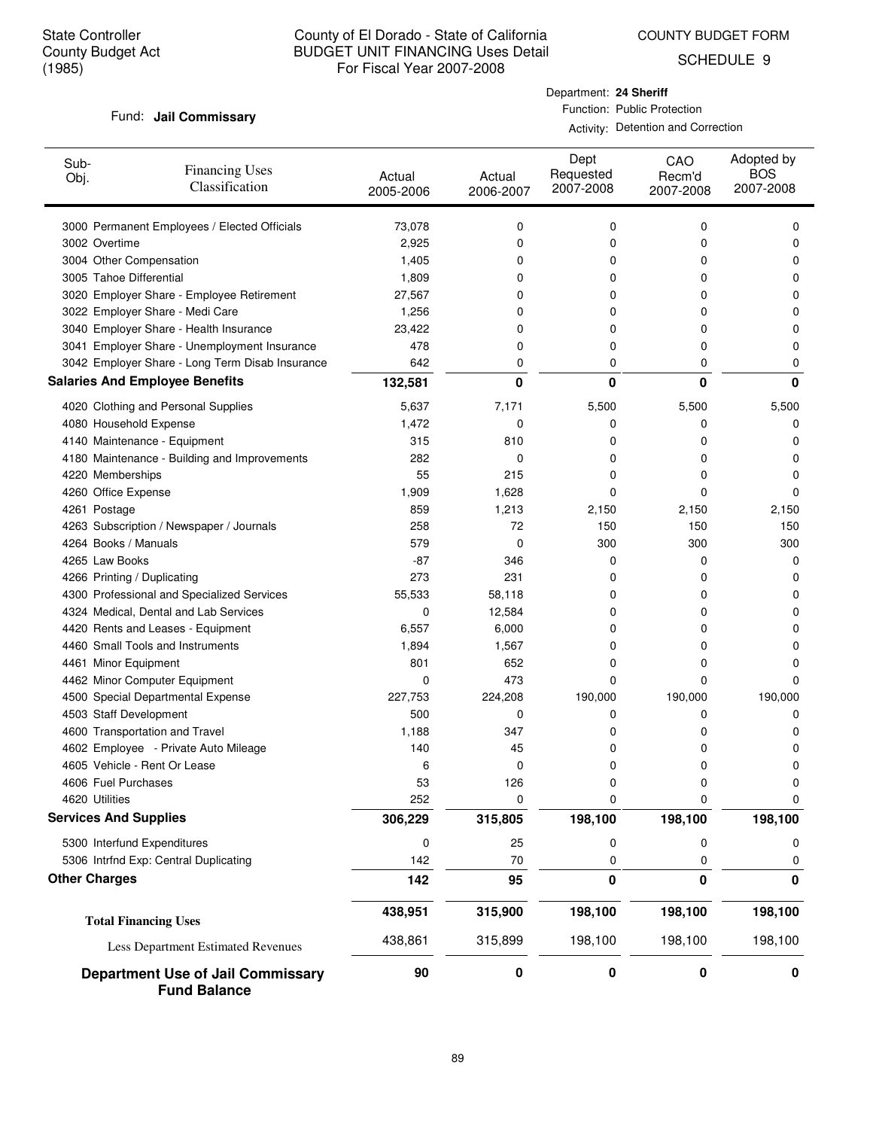COUNTY BUDGET FORM

SCHEDULE 9

### Fund: Jail Commissary

Department: **24 Sheriff** Function: Public Protection

| Sub-<br>Obj.                 | <b>Financing Uses</b><br>Classification                         | Actual<br>2005-2006 | Actual<br>2006-2007 | Dept<br>Requested<br>2007-2008 | CAO<br>Recm'd<br>2007-2008 | Adopted by<br><b>BOS</b><br>2007-2008 |
|------------------------------|-----------------------------------------------------------------|---------------------|---------------------|--------------------------------|----------------------------|---------------------------------------|
|                              | 3000 Permanent Employees / Elected Officials                    | 73,078              | 0                   | 0                              | 0                          | 0                                     |
| 3002 Overtime                |                                                                 | 2,925               | 0                   | 0                              | 0                          | 0                                     |
| 3004 Other Compensation      |                                                                 | 1,405               | 0                   | 0                              | 0                          | 0                                     |
| 3005 Tahoe Differential      |                                                                 | 1,809               | 0                   | 0                              | 0                          | 0                                     |
|                              | 3020 Employer Share - Employee Retirement                       | 27,567              | 0                   | 0                              | 0                          | 0                                     |
|                              | 3022 Employer Share - Medi Care                                 | 1,256               | 0                   | 0                              | 0                          | 0                                     |
|                              | 3040 Employer Share - Health Insurance                          | 23,422              | 0                   | 0                              | 0                          | 0                                     |
|                              | 3041 Employer Share - Unemployment Insurance                    | 478                 | 0                   | 0                              | 0                          | 0                                     |
|                              | 3042 Employer Share - Long Term Disab Insurance                 | 642                 | 0                   | 0                              | 0                          | 0                                     |
|                              | <b>Salaries And Employee Benefits</b>                           | 132,581             | 0                   | $\bf{0}$                       | $\bf{0}$                   | 0                                     |
|                              | 4020 Clothing and Personal Supplies                             | 5,637               | 7,171               | 5,500                          | 5,500                      | 5,500                                 |
| 4080 Household Expense       |                                                                 | 1,472               | 0                   | 0                              | 0                          | 0                                     |
|                              | 4140 Maintenance - Equipment                                    | 315                 | 810                 | 0                              | 0                          | 0                                     |
|                              | 4180 Maintenance - Building and Improvements                    | 282                 | 0                   | 0                              | 0                          | 0                                     |
| 4220 Memberships             |                                                                 | 55                  | 215                 | 0                              | 0                          | 0                                     |
| 4260 Office Expense          |                                                                 | 1,909               | 1,628               | 0                              | 0                          | 0                                     |
| 4261 Postage                 |                                                                 | 859                 | 1,213               | 2,150                          | 2,150                      | 2,150                                 |
|                              | 4263 Subscription / Newspaper / Journals                        | 258                 | 72                  | 150                            | 150                        | 150                                   |
| 4264 Books / Manuals         |                                                                 | 579                 | 0                   | 300                            | 300                        | 300                                   |
| 4265 Law Books               |                                                                 | -87                 | 346                 | 0                              | 0                          | 0                                     |
| 4266 Printing / Duplicating  |                                                                 | 273                 | 231                 | 0                              | 0                          | 0                                     |
|                              | 4300 Professional and Specialized Services                      | 55,533              | 58,118              | 0                              | 0                          | 0                                     |
|                              | 4324 Medical, Dental and Lab Services                           | 0                   | 12,584              | 0                              | 0                          | 0                                     |
|                              | 4420 Rents and Leases - Equipment                               | 6,557               | 6,000               | 0                              | 0                          | 0                                     |
|                              | 4460 Small Tools and Instruments                                | 1,894               | 1,567               | 0                              | 0                          | 0                                     |
| 4461 Minor Equipment         |                                                                 | 801                 | 652                 | 0                              | 0                          | 0                                     |
|                              | 4462 Minor Computer Equipment                                   | 0                   | 473                 | 0                              | 0                          | 0                                     |
|                              | 4500 Special Departmental Expense                               | 227,753             | 224,208             | 190,000                        | 190,000                    | 190,000                               |
| 4503 Staff Development       |                                                                 | 500                 | 0                   | 0                              | 0                          | 0                                     |
|                              | 4600 Transportation and Travel                                  | 1,188               | 347                 | 0                              | 0                          | 0                                     |
|                              | 4602 Employee - Private Auto Mileage                            | 140                 | 45                  | 0                              | 0                          | 0                                     |
|                              | 4605 Vehicle - Rent Or Lease                                    | 6                   | 0                   | 0                              | 0                          | 0                                     |
| 4606 Fuel Purchases          |                                                                 | 53                  | 126                 | 0                              | U                          | U                                     |
| 4620 Utilities               |                                                                 | 252                 | 0                   | 0                              | 0                          | 0                                     |
| <b>Services And Supplies</b> |                                                                 | 306,229             | 315,805             | 198,100                        | 198,100                    | 198,100                               |
| 5300 Interfund Expenditures  |                                                                 | 0                   | 25                  | 0                              | 0                          | 0                                     |
|                              | 5306 Intrfnd Exp: Central Duplicating                           | 142                 | $70\,$              | 0                              | 0                          | 0                                     |
| <b>Other Charges</b>         |                                                                 | 142                 | 95                  | 0                              | 0                          | 0                                     |
|                              | <b>Total Financing Uses</b>                                     | 438,951             | 315,900             | 198,100                        | 198,100                    | 198,100                               |
|                              | Less Department Estimated Revenues                              | 438,861             | 315,899             | 198,100                        | 198,100                    | 198,100                               |
|                              | <b>Department Use of Jail Commissary</b><br><b>Fund Balance</b> | 90                  | 0                   | 0                              | 0                          | 0                                     |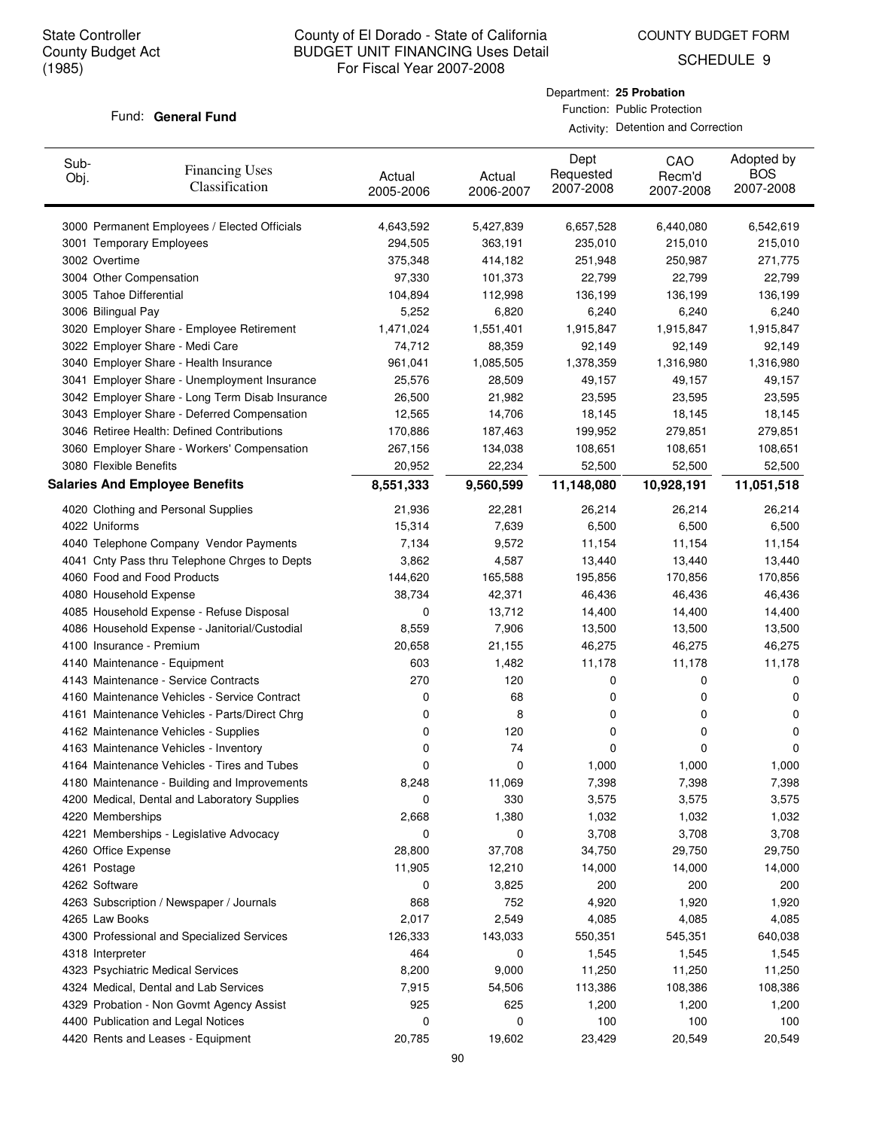COUNTY BUDGET FORM

SCHEDULE 9

### Fund: General Fund

### Department: **25 Probation** Function: Public Protection

| Sub-<br>Obj. | <b>Financing Uses</b><br>Classification         | Actual<br>2005-2006 | Actual<br>2006-2007 | Dept<br>Requested<br>2007-2008 | CAO<br>Recm'd<br>2007-2008 | Adopted by<br><b>BOS</b><br>2007-2008 |
|--------------|-------------------------------------------------|---------------------|---------------------|--------------------------------|----------------------------|---------------------------------------|
|              | 3000 Permanent Employees / Elected Officials    | 4,643,592           | 5,427,839           | 6,657,528                      | 6,440,080                  | 6,542,619                             |
|              | 3001 Temporary Employees                        | 294,505             | 363,191             | 235,010                        | 215,010                    | 215,010                               |
|              | 3002 Overtime                                   | 375,348             | 414,182             | 251,948                        | 250,987                    | 271,775                               |
|              | 3004 Other Compensation                         | 97,330              | 101,373             | 22,799                         | 22,799                     | 22,799                                |
|              | 3005 Tahoe Differential                         | 104,894             | 112,998             | 136,199                        | 136,199                    | 136,199                               |
|              | 3006 Bilingual Pay                              | 5,252               | 6,820               | 6,240                          | 6,240                      | 6,240                                 |
|              | 3020 Employer Share - Employee Retirement       | 1,471,024           | 1,551,401           | 1,915,847                      | 1,915,847                  | 1,915,847                             |
|              | 3022 Employer Share - Medi Care                 | 74,712              | 88,359              | 92,149                         | 92,149                     | 92,149                                |
|              | 3040 Employer Share - Health Insurance          | 961,041             | 1,085,505           | 1,378,359                      | 1,316,980                  | 1,316,980                             |
|              | 3041 Employer Share - Unemployment Insurance    | 25,576              | 28,509              | 49,157                         | 49,157                     | 49,157                                |
|              | 3042 Employer Share - Long Term Disab Insurance | 26,500              | 21,982              | 23,595                         | 23,595                     | 23,595                                |
|              | 3043 Employer Share - Deferred Compensation     | 12,565              | 14,706              | 18,145                         | 18,145                     | 18,145                                |
|              | 3046 Retiree Health: Defined Contributions      | 170,886             | 187,463             | 199,952                        | 279,851                    | 279,851                               |
|              | 3060 Employer Share - Workers' Compensation     | 267,156             | 134,038             | 108,651                        | 108,651                    | 108,651                               |
|              | 3080 Flexible Benefits                          | 20,952              | 22,234              | 52,500                         | 52,500                     | 52,500                                |
|              | <b>Salaries And Employee Benefits</b>           | 8,551,333           | 9,560,599           | 11,148,080                     | 10,928,191                 | 11,051,518                            |
|              | 4020 Clothing and Personal Supplies             | 21,936              | 22,281              | 26,214                         | 26,214                     | 26,214                                |
|              | 4022 Uniforms                                   | 15,314              | 7,639               | 6,500                          | 6,500                      | 6,500                                 |
|              | 4040 Telephone Company Vendor Payments          | 7,134               | 9,572               | 11,154                         | 11,154                     | 11,154                                |
|              | 4041 Cnty Pass thru Telephone Chrges to Depts   | 3,862               | 4,587               | 13,440                         | 13,440                     | 13,440                                |
|              | 4060 Food and Food Products                     | 144,620             | 165,588             | 195,856                        | 170,856                    | 170,856                               |
|              | 4080 Household Expense                          | 38,734              | 42,371              | 46,436                         | 46,436                     | 46,436                                |
|              | 4085 Household Expense - Refuse Disposal        | 0                   | 13,712              | 14,400                         | 14,400                     | 14,400                                |
|              | 4086 Household Expense - Janitorial/Custodial   | 8,559               | 7,906               | 13,500                         | 13,500                     | 13,500                                |
|              | 4100 Insurance - Premium                        | 20,658              | 21,155              | 46,275                         | 46,275                     | 46,275                                |
|              | 4140 Maintenance - Equipment                    | 603                 | 1,482               | 11,178                         | 11,178                     | 11,178                                |
|              | 4143 Maintenance - Service Contracts            | 270                 | 120                 | 0                              | 0                          | 0                                     |
|              | 4160 Maintenance Vehicles - Service Contract    | 0                   | 68                  | 0                              | 0                          | 0                                     |
|              | 4161 Maintenance Vehicles - Parts/Direct Chrg   | 0                   | 8                   | 0                              | 0                          | 0                                     |
|              | 4162 Maintenance Vehicles - Supplies            | 0                   | 120                 | 0                              | 0                          | 0                                     |
|              | 4163 Maintenance Vehicles - Inventory           | 0                   | 74                  | 0                              | 0                          | 0                                     |
|              | 4164 Maintenance Vehicles - Tires and Tubes     | 0                   | 0                   | 1,000                          | 1,000                      | 1,000                                 |
|              | 4180 Maintenance - Building and Improvements    | 8,248               | 11,069              | 7,398                          | 7,398                      | 7,398                                 |
|              | 4200 Medical, Dental and Laboratory Supplies    | 0                   | 330                 | 3,575                          | 3,575                      | 3,575                                 |
|              | 4220 Memberships                                | 2,668               | 1,380               | 1,032                          | 1,032                      | 1,032                                 |
|              | 4221 Memberships - Legislative Advocacy         | 0                   | 0                   | 3,708                          | 3,708                      | 3,708                                 |
|              | 4260 Office Expense                             | 28,800              | 37,708              | 34,750                         | 29,750                     | 29,750                                |
|              | 4261 Postage                                    | 11,905              | 12,210              | 14,000                         | 14,000                     | 14,000                                |
|              | 4262 Software                                   | 0                   | 3,825               | 200                            | 200                        | 200                                   |
|              | 4263 Subscription / Newspaper / Journals        | 868                 | 752                 | 4,920                          | 1,920                      | 1,920                                 |
|              | 4265 Law Books                                  | 2,017               | 2,549               | 4,085                          | 4,085                      | 4,085                                 |
|              | 4300 Professional and Specialized Services      | 126,333             | 143,033             | 550,351                        | 545,351                    | 640,038                               |
|              | 4318 Interpreter                                | 464                 | 0                   | 1,545                          | 1,545                      | 1,545                                 |
|              | 4323 Psychiatric Medical Services               | 8,200               | 9,000               | 11,250                         | 11,250                     | 11,250                                |
|              | 4324 Medical, Dental and Lab Services           | 7,915               | 54,506              | 113,386                        | 108,386                    | 108,386                               |
|              | 4329 Probation - Non Govmt Agency Assist        | 925                 | 625                 | 1,200                          | 1,200                      | 1,200                                 |
|              | 4400 Publication and Legal Notices              | 0                   | 0                   | 100                            | 100                        | 100                                   |
|              | 4420 Rents and Leases - Equipment               | 20,785              | 19,602              | 23,429                         | 20,549                     | 20,549                                |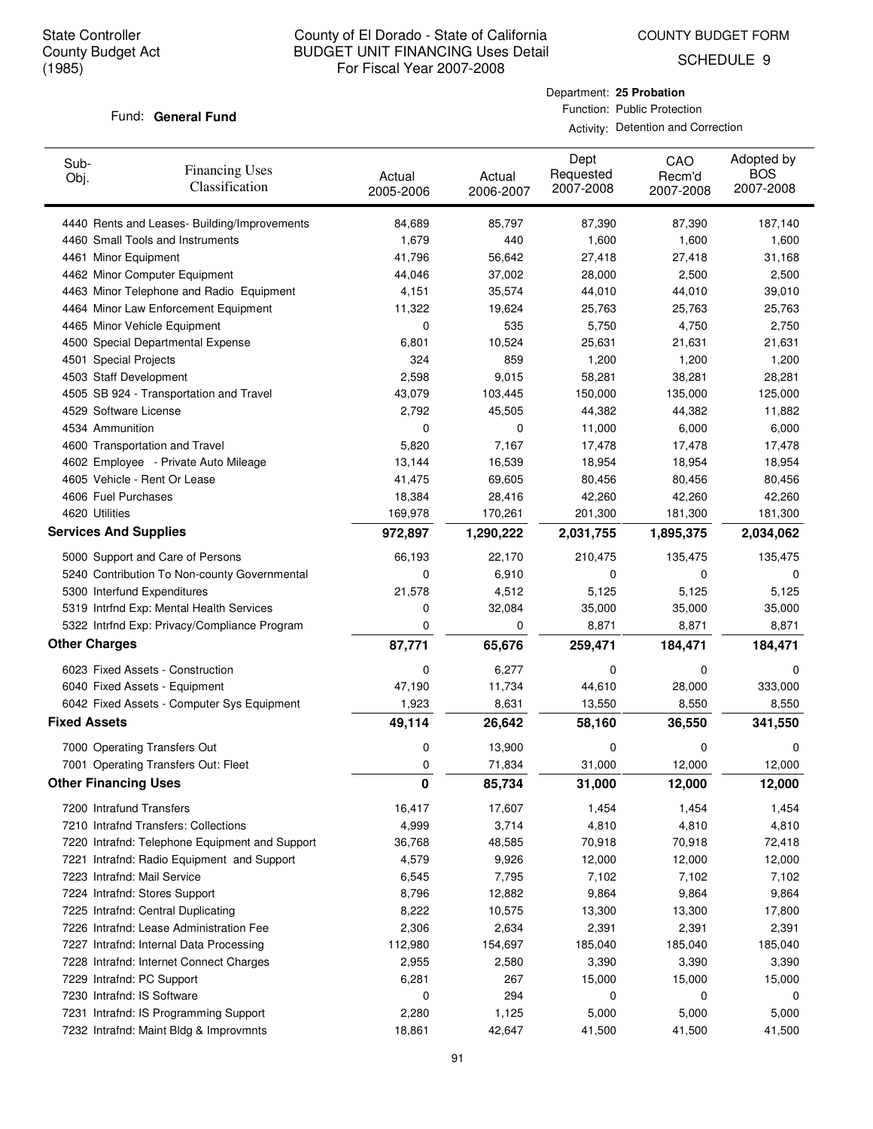COUNTY BUDGET FORM

SCHEDULE 9

### Fund: General Fund

Department: **25 Probation** Function: Public Protection

| Sub-<br>Obj.        | <b>Financing Uses</b><br>Classification        | Actual<br>2005-2006 | Actual<br>2006-2007 | Dept<br>Requested<br>2007-2008 | CAO<br>Recm'd<br>2007-2008 | Adopted by<br><b>BOS</b><br>2007-2008 |
|---------------------|------------------------------------------------|---------------------|---------------------|--------------------------------|----------------------------|---------------------------------------|
|                     | 4440 Rents and Leases- Building/Improvements   | 84,689              | 85,797              | 87,390                         | 87,390                     | 187,140                               |
|                     | 4460 Small Tools and Instruments               | 1,679               | 440                 | 1,600                          | 1,600                      | 1,600                                 |
|                     | 4461 Minor Equipment                           | 41,796              | 56,642              | 27,418                         | 27,418                     | 31,168                                |
|                     | 4462 Minor Computer Equipment                  | 44,046              | 37,002              | 28,000                         | 2,500                      | 2,500                                 |
|                     | 4463 Minor Telephone and Radio Equipment       | 4,151               | 35,574              | 44,010                         | 44,010                     | 39,010                                |
|                     | 4464 Minor Law Enforcement Equipment           | 11,322              | 19,624              | 25,763                         | 25,763                     | 25,763                                |
|                     | 4465 Minor Vehicle Equipment                   | 0                   | 535                 | 5,750                          | 4,750                      | 2,750                                 |
|                     | 4500 Special Departmental Expense              | 6,801               | 10,524              | 25,631                         | 21,631                     | 21,631                                |
|                     | 4501 Special Projects                          | 324                 | 859                 | 1,200                          | 1,200                      | 1,200                                 |
|                     | 4503 Staff Development                         | 2,598               | 9,015               | 58,281                         | 38,281                     | 28,281                                |
|                     | 4505 SB 924 - Transportation and Travel        | 43,079              | 103,445             | 150,000                        | 135,000                    | 125,000                               |
|                     | 4529 Software License                          | 2,792               | 45,505              | 44,382                         | 44,382                     | 11,882                                |
|                     | 4534 Ammunition                                | 0                   | 0                   | 11,000                         | 6,000                      | 6,000                                 |
|                     | 4600 Transportation and Travel                 | 5,820               | 7,167               | 17,478                         | 17,478                     | 17,478                                |
|                     | 4602 Employee - Private Auto Mileage           | 13,144              | 16,539              | 18,954                         | 18,954                     | 18,954                                |
|                     | 4605 Vehicle - Rent Or Lease                   | 41,475              | 69,605              | 80,456                         | 80,456                     | 80,456                                |
|                     | 4606 Fuel Purchases                            | 18,384              | 28,416              | 42,260                         | 42,260                     | 42,260                                |
|                     | 4620 Utilities                                 | 169,978             | 170,261             | 201,300                        | 181,300                    | 181,300                               |
|                     | <b>Services And Supplies</b>                   | 972,897             | 1,290,222           | 2,031,755                      | 1,895,375                  | 2,034,062                             |
|                     | 5000 Support and Care of Persons               | 66,193              | 22,170              | 210,475                        | 135,475                    | 135,475                               |
|                     | 5240 Contribution To Non-county Governmental   | 0                   | 6,910               | 0                              | 0                          | 0                                     |
|                     | 5300 Interfund Expenditures                    | 21,578              | 4,512               | 5,125                          | 5,125                      | 5,125                                 |
|                     | 5319 Intrfnd Exp: Mental Health Services       | 0                   | 32,084              | 35,000                         | 35,000                     | 35,000                                |
|                     | 5322 Intrfnd Exp: Privacy/Compliance Program   | 0                   | 0                   | 8,871                          | 8,871                      | 8,871                                 |
|                     | <b>Other Charges</b>                           | 87,771              | 65,676              | 259,471                        | 184,471                    | 184,471                               |
|                     | 6023 Fixed Assets - Construction               | 0                   | 6,277               | 0                              | 0                          | 0                                     |
|                     | 6040 Fixed Assets - Equipment                  | 47,190              | 11,734              | 44,610                         | 28,000                     | 333,000                               |
|                     | 6042 Fixed Assets - Computer Sys Equipment     | 1,923               | 8,631               | 13,550                         | 8,550                      | 8,550                                 |
| <b>Fixed Assets</b> |                                                | 49,114              | 26,642              | 58,160                         | 36,550                     | 341,550                               |
|                     | 7000 Operating Transfers Out                   | 0                   | 13,900              | 0                              | 0                          | 0                                     |
|                     | 7001 Operating Transfers Out: Fleet            | 0                   | 71,834              | 31,000                         | 12,000                     | 12,000                                |
|                     | <b>Other Financing Uses</b>                    | 0                   | 85,734              | 31,000                         | 12,000                     | 12,000                                |
|                     | 7200 Intrafund Transfers                       | 16,417              | 17,607              | 1,454                          | 1,454                      | 1,454                                 |
|                     | 7210 Intrafnd Transfers: Collections           | 4,999               | 3,714               | 4,810                          | 4,810                      | 4,810                                 |
|                     | 7220 Intrafnd: Telephone Equipment and Support | 36,768              | 48,585              | 70,918                         | 70,918                     | 72,418                                |
|                     | 7221 Intrafnd: Radio Equipment and Support     | 4,579               | 9,926               | 12,000                         | 12,000                     | 12,000                                |
|                     | 7223 Intrafnd: Mail Service                    | 6,545               | 7,795               | 7,102                          | 7,102                      | 7,102                                 |
|                     | 7224 Intrafnd: Stores Support                  | 8,796               | 12,882              | 9,864                          | 9,864                      | 9,864                                 |
|                     | 7225 Intrafnd: Central Duplicating             | 8,222               | 10,575              | 13,300                         | 13,300                     | 17,800                                |
|                     | 7226 Intrafnd: Lease Administration Fee        | 2,306               | 2,634               | 2,391                          | 2,391                      | 2,391                                 |
|                     | 7227 Intrafnd: Internal Data Processing        | 112,980             | 154,697             | 185,040                        | 185,040                    | 185,040                               |
|                     | 7228 Intrafnd: Internet Connect Charges        | 2,955               | 2,580               | 3,390                          | 3,390                      | 3,390                                 |
|                     | 7229 Intrafnd: PC Support                      | 6,281               | 267                 | 15,000                         | 15,000                     | 15,000                                |
|                     | 7230 Intrafnd: IS Software                     | 0                   | 294                 | 0                              | 0                          | 0                                     |
|                     | 7231 Intrafnd: IS Programming Support          | 2,280               | 1,125               | 5,000                          | 5,000                      | 5,000                                 |
|                     | 7232 Intrafnd: Maint Bldg & Improvmnts         | 18,861              | 42,647              | 41,500                         | 41,500                     | 41,500                                |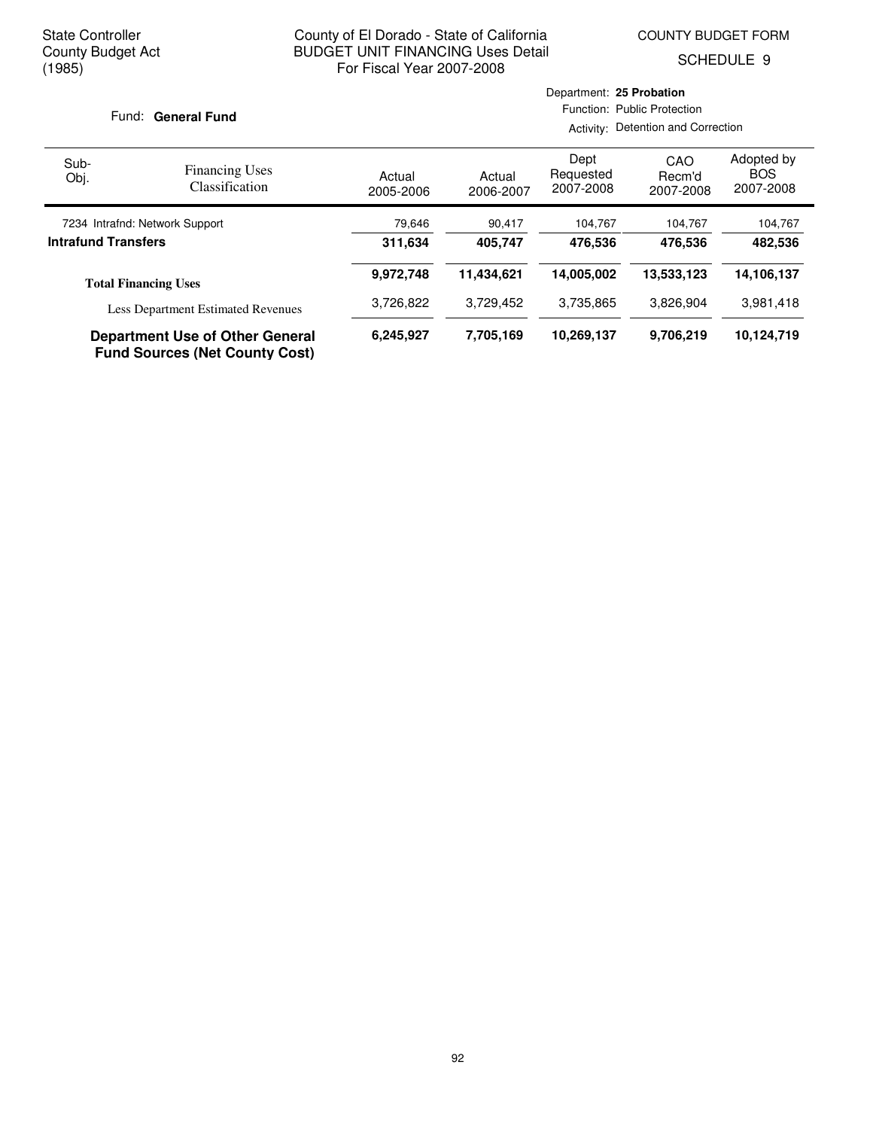COUNTY BUDGET FORM

SCHEDULE 9

### Fund: General Fund

| Sub-<br>Obj.               | <b>Financing Uses</b><br><b>Classification</b>                                  | Actual<br>2005-2006 | Actual<br>2006-2007 | Dept<br>Requested<br>2007-2008 | CAO<br>Recm'd<br>2007-2008 | Adopted by<br><b>BOS</b><br>2007-2008 |
|----------------------------|---------------------------------------------------------------------------------|---------------------|---------------------|--------------------------------|----------------------------|---------------------------------------|
|                            | 7234 Intrafnd: Network Support                                                  | 79,646              | 90,417              | 104,767                        | 104,767                    | 104,767                               |
| <b>Intrafund Transfers</b> |                                                                                 | 311,634             | 405.747             | 476.536                        | 476.536                    | 482,536                               |
|                            | <b>Total Financing Uses</b>                                                     | 9,972,748           | 11,434,621          | 14.005.002                     | 13,533,123                 | 14,106,137                            |
|                            | <b>Less Department Estimated Revenues</b>                                       | 3,726,822           | 3,729,452           | 3,735,865                      | 3,826,904                  | 3,981,418                             |
|                            | <b>Department Use of Other General</b><br><b>Fund Sources (Net County Cost)</b> | 6,245,927           | 7,705,169           | 10,269,137                     | 9.706.219                  | 10,124,719                            |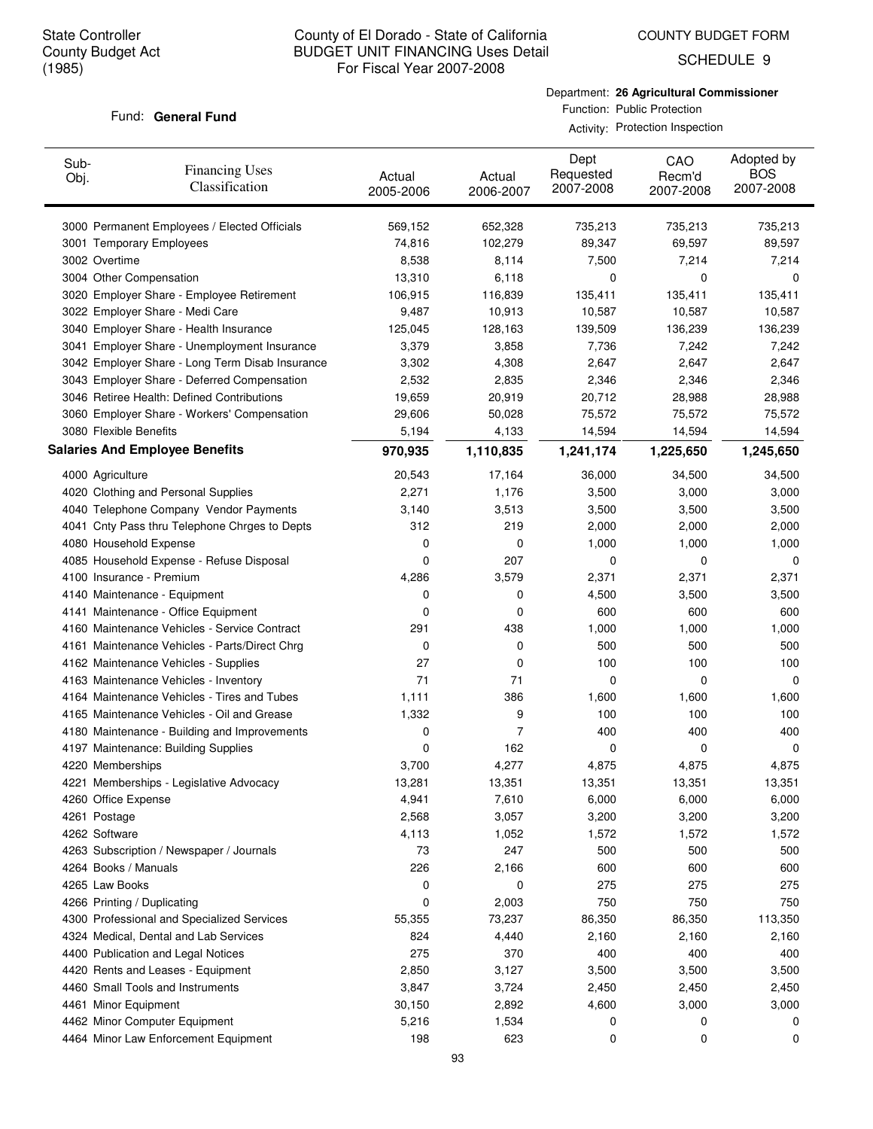Sub-Obj.

## County of El Dorado - State of California BUDGET UNIT FINANCING Uses Detail For Fiscal Year 2007-2008

COUNTY BUDGET FORM

SCHEDULE 9

### Fund: General Fund

3000 Permanent Employees / Elected Officials

Financing Uses Classification

Department: **26 Agricultural Commissioner** Function: Public Protection  $\lambda$  of Protection Inspection

|                      |                     |                                | Activity: Protection Inspection |                                       |  |
|----------------------|---------------------|--------------------------------|---------------------------------|---------------------------------------|--|
| Actual<br>2005-2006  | Actual<br>2006-2007 | Dept<br>Requested<br>2007-2008 | CAO<br>Recm'd<br>2007-2008      | Adopted by<br><b>BOS</b><br>2007-2008 |  |
| 569,152              | 652,328             | 735,213                        | 735,213                         | 735,213                               |  |
| 74,816               | 102,279             | 89,347                         | 69,597                          | 89,597                                |  |
| 8,538                | 8,114               | 7,500                          | 7,214                           | 7,214                                 |  |
| 13,310               | 6,118               | 0                              | 0                               | 0                                     |  |
| 106,915              | 116,839             | 135,411                        | 135,411                         | 135,411                               |  |
| $\sim$ $\sim$ $\sim$ | $-1 - 1 - 1$        |                                |                                 |                                       |  |

| 3001 Temporary Employees                        | 74,816  | 102,279   | 89,347    | 69,597    | 89,597    |
|-------------------------------------------------|---------|-----------|-----------|-----------|-----------|
| 3002 Overtime                                   | 8,538   | 8,114     | 7,500     | 7,214     | 7,214     |
| 3004 Other Compensation                         | 13,310  | 6,118     | 0         | 0         | 0         |
| 3020 Employer Share - Employee Retirement       | 106,915 | 116,839   | 135,411   | 135,411   | 135,411   |
| 3022 Employer Share - Medi Care                 | 9,487   | 10,913    | 10,587    | 10,587    | 10,587    |
| 3040 Employer Share - Health Insurance          | 125,045 | 128,163   | 139,509   | 136,239   | 136,239   |
| 3041 Employer Share - Unemployment Insurance    | 3,379   | 3,858     | 7,736     | 7,242     | 7,242     |
| 3042 Employer Share - Long Term Disab Insurance | 3,302   | 4,308     | 2,647     | 2,647     | 2,647     |
| 3043 Employer Share - Deferred Compensation     | 2,532   | 2,835     | 2,346     | 2,346     | 2,346     |
| 3046 Retiree Health: Defined Contributions      | 19,659  | 20,919    | 20,712    | 28,988    | 28,988    |
| 3060 Employer Share - Workers' Compensation     | 29,606  | 50,028    | 75,572    | 75,572    | 75,572    |
| 3080 Flexible Benefits                          | 5,194   | 4,133     | 14,594    | 14,594    | 14,594    |
| <b>Salaries And Employee Benefits</b>           | 970,935 | 1,110,835 | 1,241,174 | 1,225,650 | 1,245,650 |
| 4000 Agriculture                                | 20,543  | 17,164    | 36,000    | 34,500    | 34,500    |
| 4020 Clothing and Personal Supplies             | 2,271   | 1,176     | 3,500     | 3,000     | 3,000     |
| 4040 Telephone Company Vendor Payments          | 3,140   | 3,513     | 3,500     | 3,500     | 3,500     |
| 4041 Cnty Pass thru Telephone Chrges to Depts   | 312     | 219       | 2,000     | 2,000     | 2,000     |
| 4080 Household Expense                          | 0       | 0         | 1,000     | 1,000     | 1,000     |
| 4085 Household Expense - Refuse Disposal        | 0       | 207       | 0         | 0         | 0         |
| 4100 Insurance - Premium                        | 4,286   | 3,579     | 2,371     | 2,371     | 2,371     |
| 4140 Maintenance - Equipment                    | 0       | 0         | 4,500     | 3,500     | 3,500     |
| 4141 Maintenance - Office Equipment             | 0       | 0         | 600       | 600       | 600       |
| 4160 Maintenance Vehicles - Service Contract    | 291     | 438       | 1,000     | 1,000     | 1,000     |
| 4161 Maintenance Vehicles - Parts/Direct Chrg   | 0       | 0         | 500       | 500       | 500       |
| 4162 Maintenance Vehicles - Supplies            | 27      | 0         | 100       | 100       | 100       |
| 4163 Maintenance Vehicles - Inventory           | 71      | 71        | 0         | 0         | 0         |
| 4164 Maintenance Vehicles - Tires and Tubes     | 1,111   | 386       | 1,600     | 1,600     | 1,600     |
| 4165 Maintenance Vehicles - Oil and Grease      | 1,332   | 9         | 100       | 100       | 100       |
| 4180 Maintenance - Building and Improvements    | 0       | 7         | 400       | 400       | 400       |
| 4197 Maintenance: Building Supplies             | 0       | 162       | 0         | 0         | 0         |
| 4220 Memberships                                | 3,700   | 4,277     | 4,875     | 4,875     | 4,875     |
| 4221 Memberships - Legislative Advocacy         | 13,281  | 13,351    | 13,351    | 13,351    | 13,351    |
| 4260 Office Expense                             | 4,941   | 7,610     | 6,000     | 6,000     | 6,000     |
| 4261 Postage                                    | 2,568   | 3,057     | 3,200     | 3,200     | 3,200     |
| 4262 Software                                   | 4,113   | 1,052     | 1,572     | 1,572     | 1,572     |
| 4263 Subscription / Newspaper / Journals        | 73      | 247       | 500       | 500       | 500       |
| 4264 Books / Manuals                            | 226     | 2,166     | 600       | 600       | 600       |
| 4265 Law Books                                  | 0       | 0         | 275       | 275       | 275       |
| 4266 Printing / Duplicating                     | 0       | 2,003     | 750       | 750       | 750       |
| 4300 Professional and Specialized Services      | 55,355  | 73,237    | 86,350    | 86,350    | 113,350   |
| 4324 Medical, Dental and Lab Services           | 824     | 4,440     | 2,160     | 2,160     | 2,160     |
| 4400 Publication and Legal Notices              | 275     | 370       | 400       | 400       | 400       |
| 4420 Rents and Leases - Equipment               | 2,850   | 3,127     | 3,500     | 3,500     | 3,500     |
| 4460 Small Tools and Instruments                | 3,847   | 3,724     | 2,450     | 2,450     | 2,450     |
| 4461 Minor Equipment                            | 30,150  | 2,892     | 4,600     | 3,000     | 3,000     |
| 4462 Minor Computer Equipment                   | 5,216   | 1,534     | 0         | 0         | 0         |
| 4464 Minor Law Enforcement Equipment            | 198     | 623       | 0         | 0         | 0         |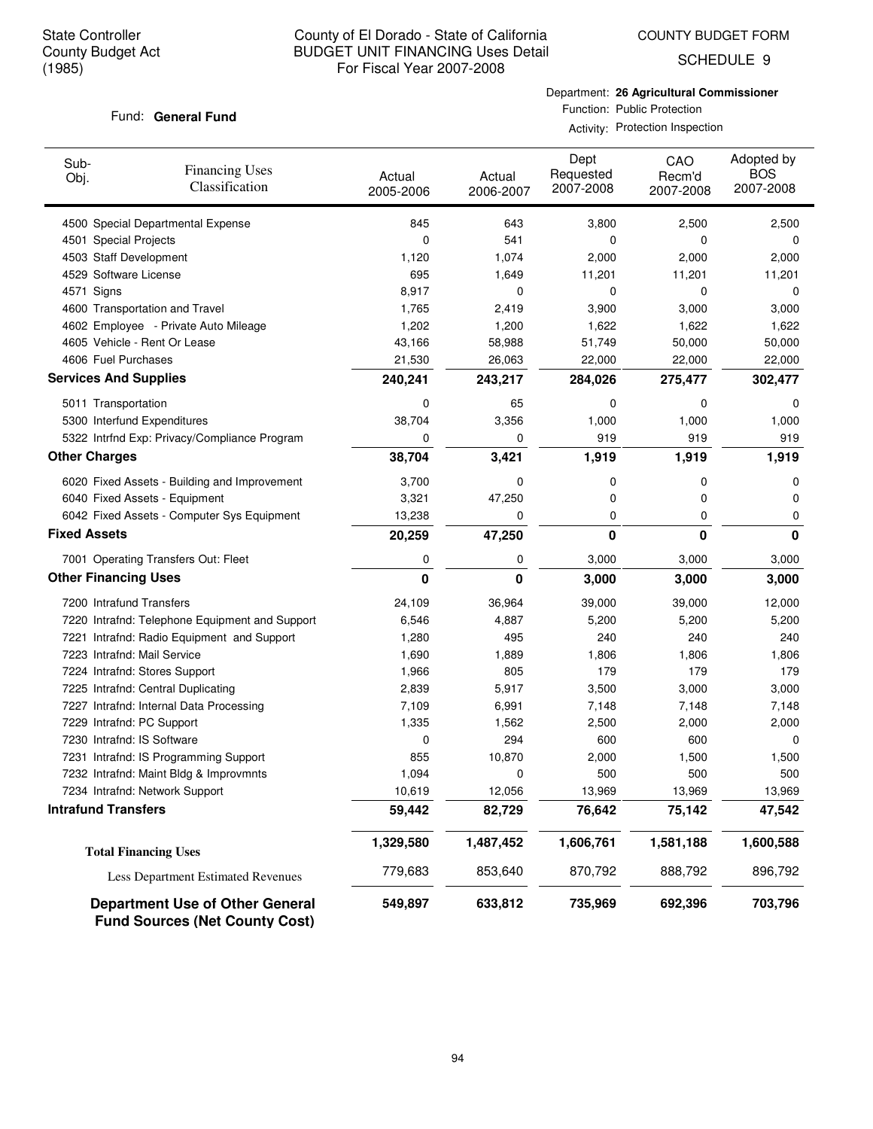COUNTY BUDGET FORM

SCHEDULE 9

### Fund: General Fund

Department: **26 Agricultural Commissioner** Function: Public Protection

Activity: Protection Inspection

| Sub-<br>Obj.                 | <b>Financing Uses</b><br>Classification                                         | Actual<br>2005-2006 | Actual<br>2006-2007 | Dept<br>Requested<br>2007-2008 | CAO<br>Recm'd<br>2007-2008 | Adopted by<br><b>BOS</b><br>2007-2008 |
|------------------------------|---------------------------------------------------------------------------------|---------------------|---------------------|--------------------------------|----------------------------|---------------------------------------|
|                              | 4500 Special Departmental Expense                                               | 845                 | 643                 | 3,800                          | 2,500                      | 2,500                                 |
| 4501 Special Projects        |                                                                                 | 0                   | 541                 | 0                              | 0                          | 0                                     |
| 4503 Staff Development       |                                                                                 | 1,120               | 1,074               | 2,000                          | 2,000                      | 2,000                                 |
| 4529 Software License        |                                                                                 | 695                 | 1,649               | 11,201                         | 11,201                     | 11,201                                |
| 4571 Signs                   |                                                                                 | 8,917               | 0                   | 0                              | 0                          | 0                                     |
|                              | 4600 Transportation and Travel                                                  | 1,765               | 2,419               | 3,900                          | 3,000                      | 3,000                                 |
|                              | 4602 Employee - Private Auto Mileage                                            | 1,202               | 1,200               | 1,622                          | 1,622                      | 1,622                                 |
|                              | 4605 Vehicle - Rent Or Lease                                                    | 43,166              | 58,988              | 51,749                         | 50,000                     | 50,000                                |
| 4606 Fuel Purchases          |                                                                                 | 21,530              | 26,063              | 22,000                         | 22,000                     | 22,000                                |
| <b>Services And Supplies</b> |                                                                                 | 240,241             | 243,217             | 284,026                        | 275,477                    | 302,477                               |
| 5011 Transportation          |                                                                                 | 0                   | 65                  | 0                              | 0                          | 0                                     |
|                              | 5300 Interfund Expenditures                                                     | 38,704              | 3,356               | 1,000                          | 1,000                      | 1,000                                 |
|                              | 5322 Intrfnd Exp: Privacy/Compliance Program                                    | 0                   | 0                   | 919                            | 919                        | 919                                   |
| <b>Other Charges</b>         |                                                                                 | 38,704              | 3,421               | 1,919                          | 1,919                      | 1,919                                 |
|                              | 6020 Fixed Assets - Building and Improvement                                    | 3,700               | 0                   | 0                              | 0                          | 0                                     |
|                              | 6040 Fixed Assets - Equipment                                                   | 3,321               | 47,250              | 0                              | 0                          | 0                                     |
|                              | 6042 Fixed Assets - Computer Sys Equipment                                      | 13,238              | 0                   | 0                              | 0                          | 0                                     |
| <b>Fixed Assets</b>          |                                                                                 | 20,259              | 47,250              | 0                              | 0                          | 0                                     |
|                              | 7001 Operating Transfers Out: Fleet                                             | 0                   | 0                   | 3,000                          | 3,000                      | 3,000                                 |
| <b>Other Financing Uses</b>  |                                                                                 | 0                   | 0                   | 3,000                          | 3,000                      | 3,000                                 |
| 7200 Intrafund Transfers     |                                                                                 | 24,109              | 36,964              | 39,000                         | 39,000                     | 12,000                                |
|                              | 7220 Intrafnd: Telephone Equipment and Support                                  | 6,546               | 4,887               | 5,200                          | 5,200                      | 5,200                                 |
|                              | 7221 Intrafnd: Radio Equipment and Support                                      | 1,280               | 495                 | 240                            | 240                        | 240                                   |
| 7223 Intrafnd: Mail Service  |                                                                                 | 1,690               | 1,889               | 1,806                          | 1,806                      | 1,806                                 |
|                              | 7224 Intrafnd: Stores Support                                                   | 1,966               | 805                 | 179                            | 179                        | 179                                   |
|                              | 7225 Intrafnd: Central Duplicating                                              | 2,839               | 5,917               | 3,500                          | 3,000                      | 3,000                                 |
|                              | 7227 Intrafnd: Internal Data Processing                                         | 7,109               | 6,991               | 7,148                          | 7,148                      | 7,148                                 |
| 7229 Intrafnd: PC Support    |                                                                                 | 1,335               | 1,562               | 2,500                          | 2,000                      | 2,000                                 |
| 7230 Intrafnd: IS Software   |                                                                                 | 0                   | 294                 | 600                            | 600                        | 0                                     |
|                              | 7231 Intrafnd: IS Programming Support                                           | 855                 | 10,870              | 2,000                          | 1,500                      | 1,500                                 |
|                              | 7232 Intrafnd: Maint Bldg & Improvmnts                                          | 1,094               | 0                   | 500                            | 500                        | 500                                   |
|                              | 7234 Intrafnd: Network Support                                                  | 10,619              | 12,056              | 13,969                         | 13,969                     | 13,969                                |
| <b>Intrafund Transfers</b>   |                                                                                 | 59,442              | 82,729              | 76,642                         | 75,142                     | 47,542                                |
|                              | <b>Total Financing Uses</b>                                                     | 1,329,580           | 1,487,452           | 1,606,761                      | 1,581,188                  | 1,600,588                             |
|                              | Less Department Estimated Revenues                                              | 779,683             | 853,640             | 870,792                        | 888,792                    | 896,792                               |
|                              | <b>Department Use of Other General</b><br><b>Fund Sources (Net County Cost)</b> | 549,897             | 633,812             | 735,969                        | 692,396                    | 703,796                               |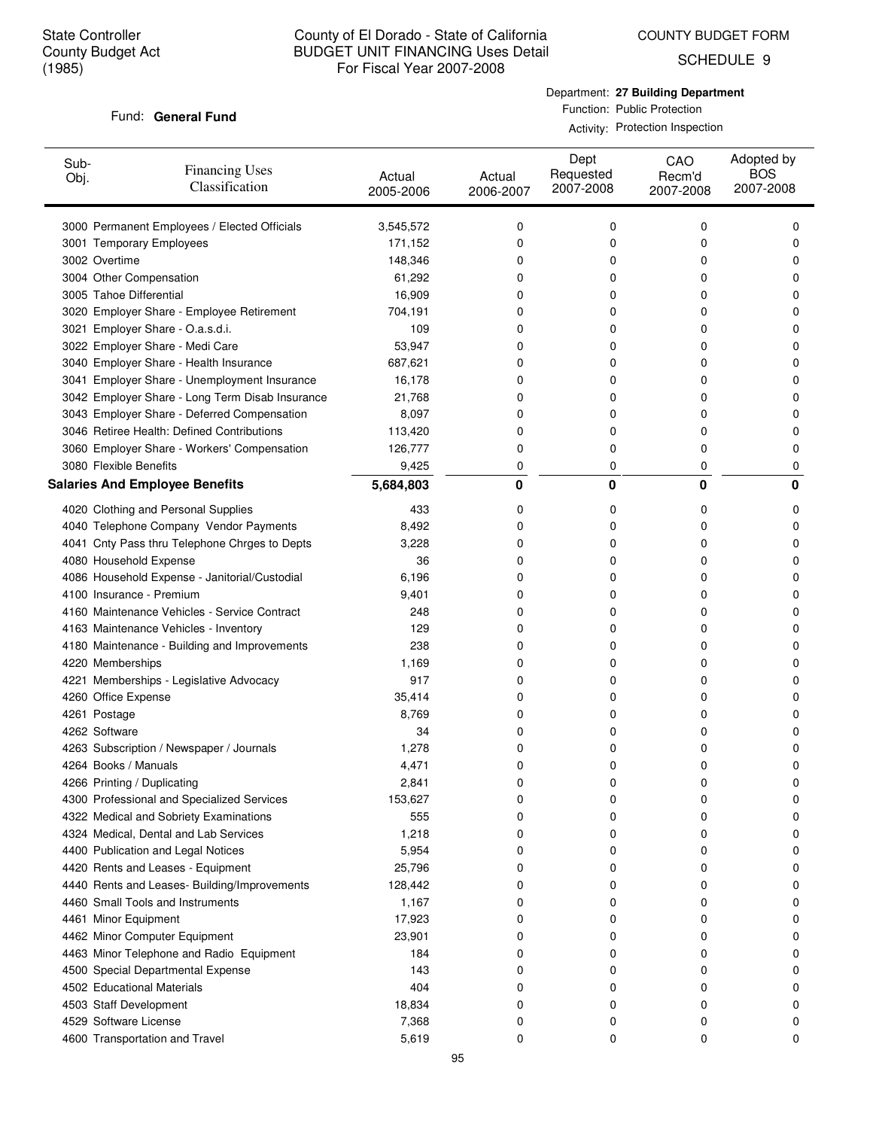COUNTY BUDGET FORM

SCHEDULE 9

### Fund: General Fund

Department: **27 Building Department** Function: Public Protection Activity: Protection Inspection

| Sub-<br>Obj. | <b>Financing Uses</b><br>Classification         | Actual<br>2005-2006 | Actual<br>2006-2007 | Dept<br>Requested<br>2007-2008 | CAO<br>Recm'd<br>2007-2008 | Adopted by<br><b>BOS</b><br>2007-2008 |
|--------------|-------------------------------------------------|---------------------|---------------------|--------------------------------|----------------------------|---------------------------------------|
|              | 3000 Permanent Employees / Elected Officials    | 3,545,572           | 0                   | 0                              | 0                          | 0                                     |
|              | 3001 Temporary Employees                        | 171,152             | 0                   | 0                              | 0                          | 0                                     |
|              | 3002 Overtime                                   | 148,346             | 0                   | 0                              | 0                          | 0                                     |
|              | 3004 Other Compensation                         | 61,292              | 0                   | 0                              | 0                          | 0                                     |
|              | 3005 Tahoe Differential                         | 16,909              | 0                   | 0                              | 0                          | 0                                     |
|              | 3020 Employer Share - Employee Retirement       | 704,191             | 0                   | 0                              | 0                          | 0                                     |
|              | 3021 Employer Share - O.a.s.d.i.                | 109                 | 0                   | 0                              | 0                          | 0                                     |
|              | 3022 Employer Share - Medi Care                 | 53,947              | 0                   | 0                              | 0                          | 0                                     |
|              | 3040 Employer Share - Health Insurance          | 687,621             | 0                   | 0                              | 0                          | 0                                     |
|              | 3041 Employer Share - Unemployment Insurance    | 16,178              | 0                   | 0                              | 0                          | 0                                     |
|              | 3042 Employer Share - Long Term Disab Insurance | 21,768              | 0                   | 0                              | 0                          | 0                                     |
|              | 3043 Employer Share - Deferred Compensation     | 8,097               | 0                   | 0                              | 0                          | 0                                     |
|              | 3046 Retiree Health: Defined Contributions      | 113,420             | 0                   | 0                              | 0                          | 0                                     |
|              | 3060 Employer Share - Workers' Compensation     | 126,777             | 0                   | 0                              | 0                          | 0                                     |
|              | 3080 Flexible Benefits                          | 9,425               | 0                   | 0                              | 0                          | 0                                     |
|              | <b>Salaries And Employee Benefits</b>           | 5,684,803           | 0                   | 0                              | 0                          | 0                                     |
|              | 4020 Clothing and Personal Supplies             | 433                 | 0                   | 0                              | 0                          | 0                                     |
|              | 4040 Telephone Company Vendor Payments          | 8,492               | 0                   | 0                              | 0                          | 0                                     |
|              | 4041 Cnty Pass thru Telephone Chrges to Depts   | 3,228               | 0                   | 0                              | 0                          | 0                                     |
|              | 4080 Household Expense                          | 36                  | 0                   | 0                              | 0                          | 0                                     |
|              | 4086 Household Expense - Janitorial/Custodial   | 6,196               | 0                   | 0                              | 0                          | 0                                     |
|              | 4100 Insurance - Premium                        | 9,401               | 0                   | 0                              | 0                          | 0                                     |
|              | 4160 Maintenance Vehicles - Service Contract    | 248                 | 0                   | 0                              | 0                          | 0                                     |
|              | 4163 Maintenance Vehicles - Inventory           | 129                 | 0                   | 0                              | 0                          | 0                                     |
|              | 4180 Maintenance - Building and Improvements    | 238                 | 0                   | 0                              | 0                          | 0                                     |
|              | 4220 Memberships                                | 1,169               | 0                   | 0                              | 0                          | 0                                     |
|              | 4221 Memberships - Legislative Advocacy         | 917                 | 0                   | 0                              | 0                          | 0                                     |
|              | 4260 Office Expense                             | 35,414              | 0                   | 0                              | 0                          | 0                                     |
|              | 4261 Postage                                    | 8,769               | 0                   | 0                              | 0                          | 0                                     |
|              | 4262 Software                                   | 34                  | 0                   | 0                              | 0                          | 0                                     |
|              | 4263 Subscription / Newspaper / Journals        | 1,278               | 0                   | 0                              | 0                          | 0                                     |
|              | 4264 Books / Manuals                            | 4,471               | 0                   | 0                              | 0                          | 0                                     |
|              | 4266 Printing / Duplicating                     | 2,841               | U                   | υ                              | U                          | U                                     |
|              | 4300 Professional and Specialized Services      | 153,627             | 0                   | 0                              | 0                          | 0                                     |
|              | 4322 Medical and Sobriety Examinations          | 555                 | 0                   | 0                              | 0                          | 0                                     |
|              | 4324 Medical, Dental and Lab Services           | 1,218               | 0                   | 0                              | 0                          | 0                                     |
|              | 4400 Publication and Legal Notices              | 5,954               | 0                   | 0                              | 0                          | 0                                     |
|              | 4420 Rents and Leases - Equipment               | 25,796              | 0                   | 0                              | 0                          | 0                                     |
|              | 4440 Rents and Leases- Building/Improvements    | 128,442             | 0                   | 0                              | 0                          | 0                                     |
|              | 4460 Small Tools and Instruments                | 1,167               | 0                   | 0                              | 0                          | 0                                     |
|              | 4461 Minor Equipment                            | 17,923              | 0                   | 0                              | 0                          | 0                                     |
|              | 4462 Minor Computer Equipment                   | 23,901              | 0                   | 0                              | 0                          | 0                                     |
|              | 4463 Minor Telephone and Radio Equipment        | 184                 | 0                   | 0                              | 0                          | 0                                     |
|              | 4500 Special Departmental Expense               | 143                 | 0                   | 0                              | 0                          | 0                                     |
|              | 4502 Educational Materials                      | 404                 | 0                   | 0                              | 0                          | 0                                     |
|              | 4503 Staff Development                          | 18,834              | 0                   | 0                              | 0                          | 0                                     |
|              | 4529 Software License                           | 7,368               | 0                   | 0                              | 0                          | 0                                     |
|              | 4600 Transportation and Travel                  | 5,619               | 0                   | 0                              | 0                          | 0                                     |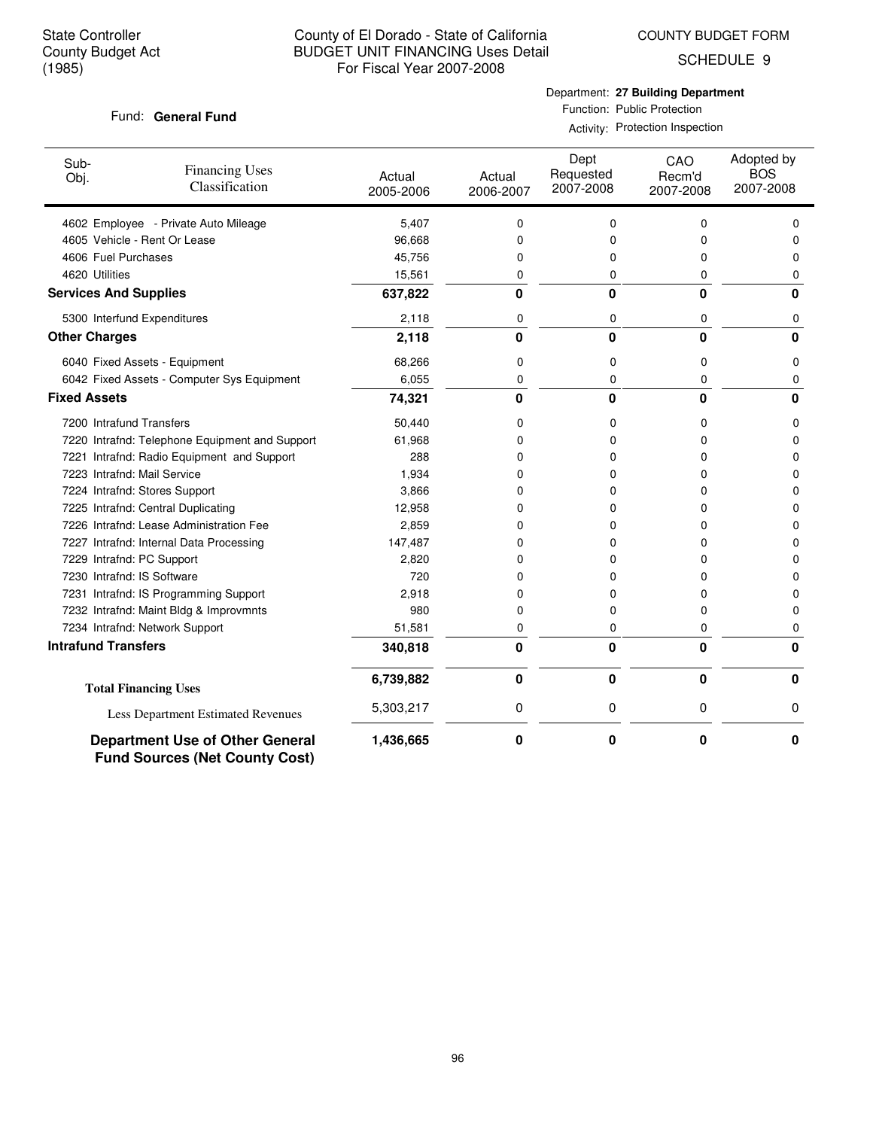COUNTY BUDGET FORM

SCHEDULE 9

### Fund: General Fund

## Department: **27 Building Department** Function: Public Protection

Activity: Protection Inspection

| Sub-<br>Obj.                 | <b>Financing Uses</b><br>Classification                                         | Actual<br>2005-2006 | Actual<br>2006-2007 | Dept<br>Requested<br>2007-2008 | CAO<br>Recm'd<br>2007-2008 | Adopted by<br><b>BOS</b><br>2007-2008 |
|------------------------------|---------------------------------------------------------------------------------|---------------------|---------------------|--------------------------------|----------------------------|---------------------------------------|
|                              | 4602 Employee - Private Auto Mileage                                            | 5,407               | 0                   | 0                              | 0                          | $\Omega$                              |
|                              | 4605 Vehicle - Rent Or Lease                                                    | 96,668              | 0                   | 0                              | 0                          | 0                                     |
| 4606 Fuel Purchases          |                                                                                 | 45,756              | 0                   | 0                              | 0                          | 0                                     |
| 4620 Utilities               |                                                                                 | 15,561              | 0                   | 0                              | 0                          | 0                                     |
| <b>Services And Supplies</b> |                                                                                 | 637,822             | 0                   | $\bf{0}$                       | $\Omega$                   | $\bf{0}$                              |
|                              | 5300 Interfund Expenditures                                                     | 2,118               | 0                   | 0                              | 0                          | 0                                     |
| <b>Other Charges</b>         |                                                                                 | 2,118               | $\mathbf{0}$        | $\mathbf{0}$                   | $\bf{0}$                   | $\Omega$                              |
|                              | 6040 Fixed Assets - Equipment                                                   | 68,266              | 0                   | 0                              | 0                          | 0                                     |
|                              | 6042 Fixed Assets - Computer Sys Equipment                                      | 6,055               | 0                   | 0                              | 0                          | 0                                     |
| <b>Fixed Assets</b>          |                                                                                 | 74,321              | 0                   | $\mathbf{0}$                   | $\bf{0}$                   | 0                                     |
| 7200 Intrafund Transfers     |                                                                                 | 50,440              | 0                   | 0                              | 0                          | 0                                     |
|                              | 7220 Intrafnd: Telephone Equipment and Support                                  | 61,968              | 0                   | 0                              | 0                          | 0                                     |
|                              | 7221 Intrafnd: Radio Equipment and Support                                      | 288                 | 0                   | 0                              | 0                          | 0                                     |
|                              | 7223 Intrafnd: Mail Service                                                     | 1,934               | 0                   | 0                              | 0                          | 0                                     |
|                              | 7224 Intrafnd: Stores Support                                                   | 3,866               | 0                   | 0                              | 0                          | $\Omega$                              |
|                              | 7225 Intrafnd: Central Duplicating                                              | 12,958              | 0                   | 0                              | 0                          | 0                                     |
|                              | 7226 Intrafnd: Lease Administration Fee                                         | 2,859               | 0                   | 0                              | 0                          | 0                                     |
|                              | 7227 Intrafnd: Internal Data Processing                                         | 147,487             | 0                   | 0                              | 0                          | $\Omega$                              |
|                              | 7229 Intrafnd: PC Support                                                       | 2,820               | 0                   | 0                              | 0                          | 0                                     |
|                              | 7230 Intrafnd: IS Software                                                      | 720                 | 0                   | 0                              | 0                          | O                                     |
|                              | 7231 Intrafnd: IS Programming Support                                           | 2,918               | 0                   | 0                              | 0                          | 0                                     |
|                              | 7232 Intrafnd: Maint Bldg & Improvmnts                                          | 980                 | 0                   | 0                              | 0                          | 0                                     |
|                              | 7234 Intrafnd: Network Support                                                  | 51,581              | 0                   | 0                              | 0                          | 0                                     |
| <b>Intrafund Transfers</b>   |                                                                                 | 340,818             | 0                   | $\mathbf{0}$                   | $\bf{0}$                   | $\bf{0}$                              |
|                              | <b>Total Financing Uses</b>                                                     | 6,739,882           | 0                   | $\bf{0}$                       | $\mathbf 0$                | 0                                     |
|                              | Less Department Estimated Revenues                                              | 5,303,217           | 0                   | 0                              | 0                          | 0                                     |
|                              | <b>Department Use of Other General</b><br><b>Fund Sources (Net County Cost)</b> | 1,436,665           | 0                   | 0                              | 0                          | 0                                     |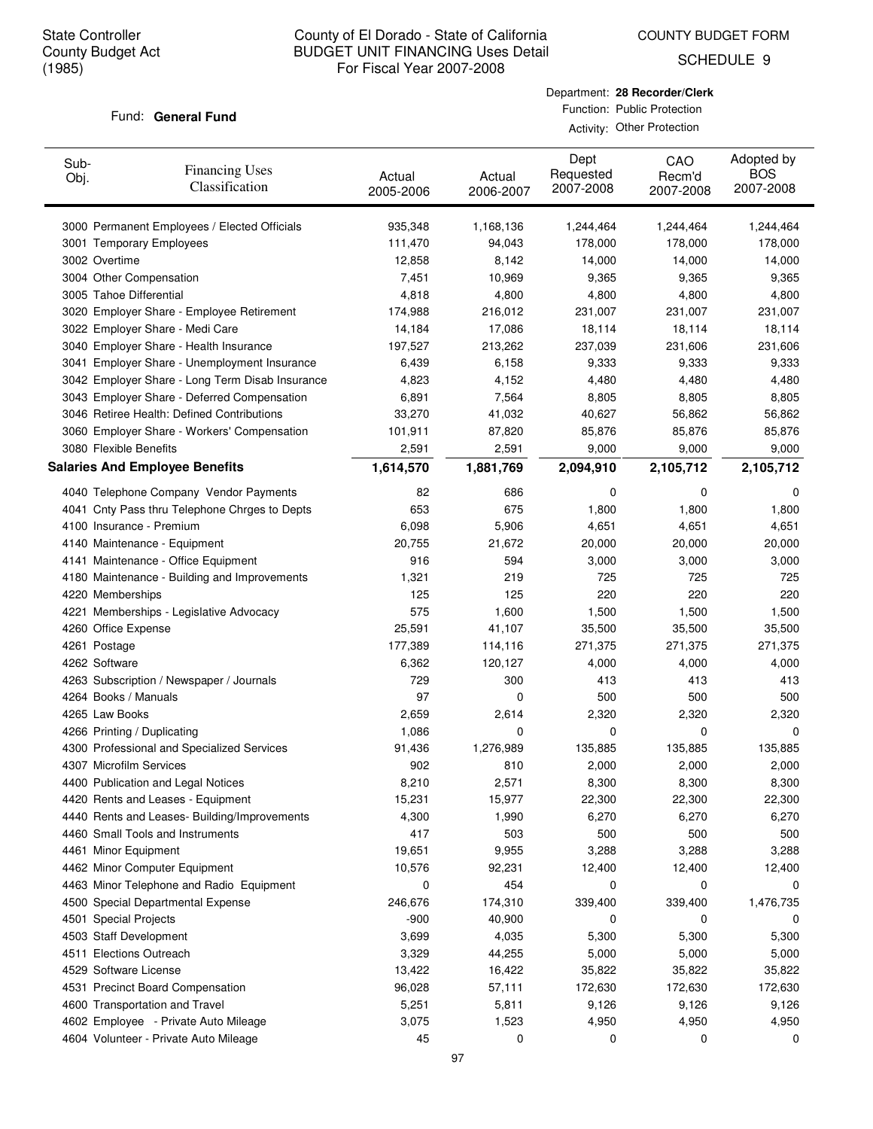COUNTY BUDGET FORM

SCHEDULE 9

### Fund: General Fund

| Department: 28 Recorder/Clerk |
|-------------------------------|
| Function: Public Protection   |

Activity: Other Protection

| Sub-<br>Obj. | <b>Financing Uses</b><br>Classification                                          | Actual<br>2005-2006 | Actual<br>2006-2007 | Dept<br>Requested<br>2007-2008 | CAO<br>Recm'd<br>2007-2008 | Adopted by<br><b>BOS</b><br>2007-2008 |
|--------------|----------------------------------------------------------------------------------|---------------------|---------------------|--------------------------------|----------------------------|---------------------------------------|
|              | 3000 Permanent Employees / Elected Officials                                     | 935,348             | 1,168,136           | 1,244,464                      | 1,244,464                  | 1,244,464                             |
|              | 3001 Temporary Employees                                                         | 111,470             | 94,043              | 178,000                        | 178,000                    | 178,000                               |
|              | 3002 Overtime                                                                    | 12,858              | 8,142               | 14,000                         | 14,000                     | 14,000                                |
|              | 3004 Other Compensation                                                          | 7,451               | 10,969              | 9,365                          | 9,365                      | 9,365                                 |
|              | 3005 Tahoe Differential                                                          | 4,818               | 4,800               | 4,800                          | 4,800                      | 4,800                                 |
|              | 3020 Employer Share - Employee Retirement                                        | 174,988             | 216,012             | 231,007                        | 231,007                    | 231,007                               |
|              | 3022 Employer Share - Medi Care                                                  | 14,184              | 17,086              | 18,114                         | 18,114                     | 18,114                                |
|              | 3040 Employer Share - Health Insurance                                           | 197,527             | 213,262             | 237,039                        | 231,606                    | 231,606                               |
|              | 3041 Employer Share - Unemployment Insurance                                     | 6,439               | 6,158               | 9,333                          | 9,333                      | 9,333                                 |
|              | 3042 Employer Share - Long Term Disab Insurance                                  | 4,823               | 4,152               | 4,480                          | 4,480                      | 4,480                                 |
|              | 3043 Employer Share - Deferred Compensation                                      | 6,891               | 7,564               | 8,805                          | 8,805                      | 8,805                                 |
|              | 3046 Retiree Health: Defined Contributions                                       | 33,270              | 41,032              | 40,627                         | 56,862                     | 56,862                                |
|              | 3060 Employer Share - Workers' Compensation                                      | 101,911             | 87,820              | 85,876                         | 85,876                     | 85,876                                |
|              | 3080 Flexible Benefits                                                           | 2,591               | 2,591               | 9,000                          | 9,000                      | 9,000                                 |
|              | <b>Salaries And Employee Benefits</b>                                            | 1,614,570           | 1,881,769           | 2,094,910                      | 2,105,712                  | 2,105,712                             |
|              | 4040 Telephone Company Vendor Payments                                           | 82                  | 686                 | 0                              | 0                          | 0                                     |
|              | 4041 Cnty Pass thru Telephone Chrges to Depts                                    | 653                 | 675                 | 1,800                          | 1,800                      | 1,800                                 |
|              | 4100 Insurance - Premium                                                         | 6,098               | 5,906               | 4,651                          | 4,651                      | 4,651                                 |
|              |                                                                                  | 20,755              |                     |                                |                            |                                       |
|              | 4140 Maintenance - Equipment                                                     | 916                 | 21,672<br>594       | 20,000<br>3,000                | 20,000                     | 20,000<br>3,000                       |
|              | 4141 Maintenance - Office Equipment                                              | 1,321               | 219                 | 725                            | 3,000<br>725               | 725                                   |
|              | 4180 Maintenance - Building and Improvements                                     | 125                 | 125                 | 220                            | 220                        | 220                                   |
|              | 4220 Memberships                                                                 | 575                 |                     |                                |                            |                                       |
|              | 4221 Memberships - Legislative Advocacy                                          |                     | 1,600               | 1,500                          | 1,500                      | 1,500                                 |
|              | 4260 Office Expense                                                              | 25,591              | 41,107              | 35,500                         | 35,500                     | 35,500                                |
|              | 4261 Postage                                                                     | 177,389             | 114,116             | 271,375                        | 271,375                    | 271,375                               |
|              | 4262 Software                                                                    | 6,362<br>729        | 120,127             | 4,000                          | 4,000                      | 4,000                                 |
|              | 4263 Subscription / Newspaper / Journals                                         |                     | 300                 | 413                            | 413                        | 413                                   |
|              | 4264 Books / Manuals                                                             | 97                  | 0                   | 500                            | 500                        | 500                                   |
|              | 4265 Law Books                                                                   | 2,659               | 2,614               | 2,320                          | 2,320                      | 2,320                                 |
|              | 4266 Printing / Duplicating                                                      | 1,086               | 0                   | 0                              | 0                          | 0                                     |
|              | 4300 Professional and Specialized Services                                       | 91,436              | 1,276,989           | 135,885                        | 135,885                    | 135,885                               |
|              | 4307 Microfilm Services                                                          | 902                 | 810                 | 2,000                          | 2,000                      | 2,000                                 |
|              | 4400 Publication and Legal Notices                                               | 8,210               | 2,571               | 8,300                          | 8,300                      | 8,300                                 |
|              | 4420 Rents and Leases - Equipment                                                | 15,231              | 15,977              | 22,300                         | 22,300                     | 22,300                                |
|              | 4440 Rents and Leases- Building/Improvements<br>4460 Small Tools and Instruments | 4,300<br>417        | 1,990               | 6,270<br>500                   | 6,270                      | 6,270<br>500                          |
|              |                                                                                  |                     | 503                 |                                | 500                        |                                       |
|              | 4461 Minor Equipment                                                             | 19,651              | 9,955               | 3,288                          | 3,288                      | 3,288                                 |
|              | 4462 Minor Computer Equipment                                                    | 10,576              | 92,231<br>454       | 12,400                         | 12,400                     | 12,400                                |
|              | 4463 Minor Telephone and Radio Equipment                                         | 0                   |                     | 0                              | 0                          | 0                                     |
|              | 4500 Special Departmental Expense                                                | 246,676             | 174,310             | 339,400                        | 339,400                    | 1,476,735                             |
|              | 4501 Special Projects                                                            | $-900$              | 40,900              | 0                              | 0                          | 0                                     |
|              | 4503 Staff Development                                                           | 3,699               | 4,035               | 5,300                          | 5,300                      | 5,300                                 |
|              | 4511 Elections Outreach                                                          | 3,329               | 44,255              | 5,000                          | 5,000                      | 5,000                                 |
|              | 4529 Software License                                                            | 13,422              | 16,422              | 35,822                         | 35,822                     | 35,822                                |
|              | 4531 Precinct Board Compensation                                                 | 96,028              | 57,111              | 172,630                        | 172,630                    | 172,630                               |
|              | 4600 Transportation and Travel                                                   | 5,251               | 5,811               | 9,126                          | 9,126                      | 9,126                                 |
|              | 4602 Employee - Private Auto Mileage                                             | 3,075               | 1,523               | 4,950                          | 4,950                      | 4,950                                 |
|              | 4604 Volunteer - Private Auto Mileage                                            | 45                  | 0                   | 0                              | 0                          | 0                                     |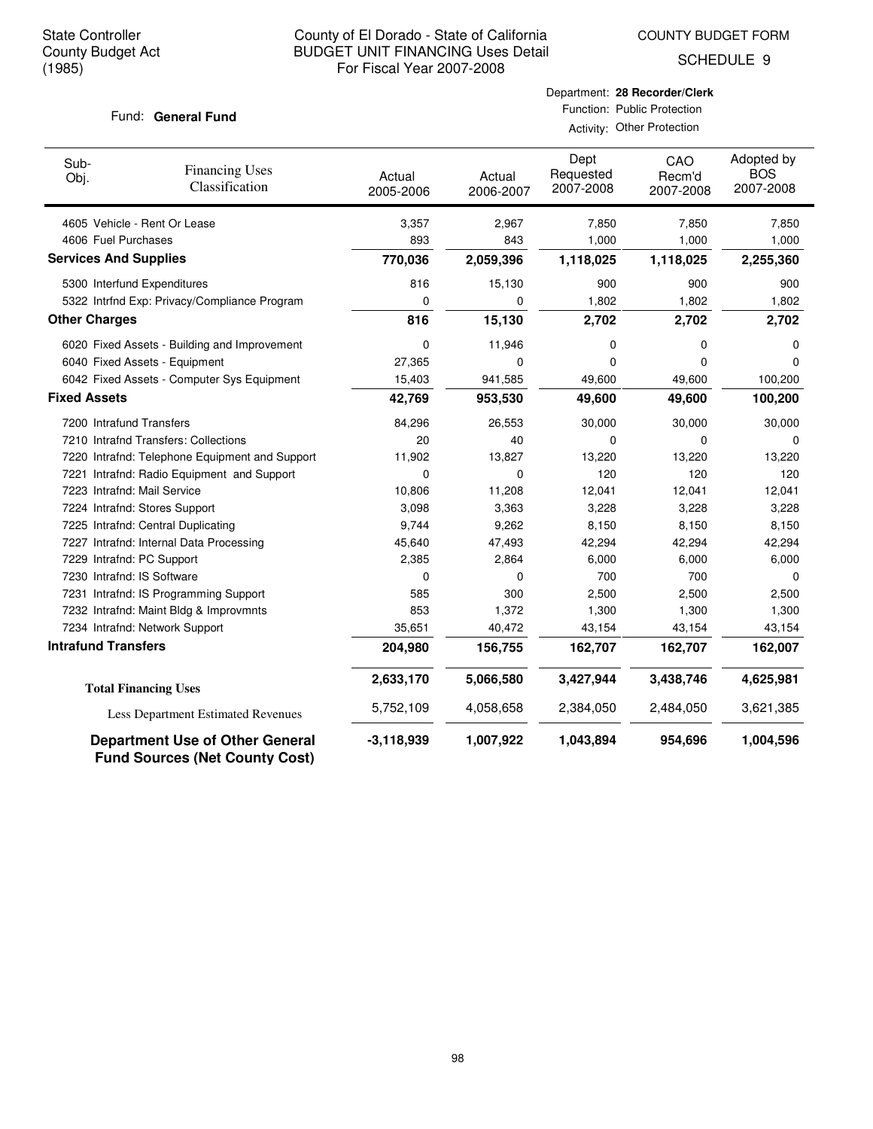COUNTY BUDGET FORM

SCHEDULE 9

### Fund: General Fund

Activity: Other Protection

| Sub-<br>Obj.                 | <b>Financing Uses</b><br>Classification        | Actual<br>2005-2006 | Actual<br>2006-2007 | Dept<br>Requested<br>2007-2008 | CAO<br>Recm'd<br>2007-2008 | Adopted by<br><b>BOS</b><br>2007-2008 |
|------------------------------|------------------------------------------------|---------------------|---------------------|--------------------------------|----------------------------|---------------------------------------|
|                              | 4605 Vehicle - Rent Or Lease                   | 3,357               | 2,967               | 7,850                          | 7,850                      | 7,850                                 |
| 4606 Fuel Purchases          |                                                | 893                 | 843                 | 1,000                          | 1,000                      | 1,000                                 |
| <b>Services And Supplies</b> |                                                | 770,036             | 2,059,396           | 1,118,025                      | 1,118,025                  | 2,255,360                             |
|                              | 5300 Interfund Expenditures                    | 816                 | 15,130              | 900                            | 900                        | 900                                   |
|                              | 5322 Intrfnd Exp: Privacy/Compliance Program   | 0                   | $\mathbf 0$         | 1,802                          | 1,802                      | 1,802                                 |
| <b>Other Charges</b>         |                                                | 816                 | 15,130              | 2,702                          | 2,702                      | 2,702                                 |
|                              | 6020 Fixed Assets - Building and Improvement   | 0                   | 11,946              | 0                              | 0                          | 0                                     |
|                              | 6040 Fixed Assets - Equipment                  | 27,365              | 0                   | $\mathbf 0$                    | 0                          | 0                                     |
|                              | 6042 Fixed Assets - Computer Sys Equipment     | 15,403              | 941,585             | 49,600                         | 49,600                     | 100,200                               |
| <b>Fixed Assets</b>          |                                                | 42,769              | 953,530             | 49,600                         | 49,600                     | 100,200                               |
|                              | 7200 Intrafund Transfers                       | 84,296              | 26,553              | 30,000                         | 30,000                     | 30,000                                |
|                              | 7210 Intrafnd Transfers: Collections           | 20                  | 40                  | 0                              | 0                          | $\Omega$                              |
|                              | 7220 Intrafnd: Telephone Equipment and Support | 11,902              | 13,827              | 13,220                         | 13,220                     | 13,220                                |
|                              | 7221 Intrafnd: Radio Equipment and Support     | 0                   | 0                   | 120                            | 120                        | 120                                   |
|                              | 7223 Intrafnd: Mail Service                    | 10,806              | 11,208              | 12,041                         | 12,041                     | 12,041                                |
|                              | 7224 Intrafnd: Stores Support                  | 3,098               | 3,363               | 3,228                          | 3,228                      | 3,228                                 |
|                              | 7225 Intrafnd: Central Duplicating             | 9,744               | 9,262               | 8,150                          | 8,150                      | 8,150                                 |
|                              | 7227 Intrafnd: Internal Data Processing        | 45,640              | 47,493              | 42,294                         | 42,294                     | 42,294                                |
|                              | 7229 Intrafnd: PC Support                      | 2,385               | 2,864               | 6,000                          | 6,000                      | 6,000                                 |
|                              | 7230 Intrafnd: IS Software                     | 0                   | $\Omega$            | 700                            | 700                        | $\Omega$                              |
|                              | 7231 Intrafnd: IS Programming Support          | 585                 | 300                 | 2,500                          | 2,500                      | 2,500                                 |
|                              | 7232 Intrafnd: Maint Bldg & Improvmnts         | 853                 | 1,372               | 1,300                          | 1,300                      | 1,300                                 |
|                              | 7234 Intrafnd: Network Support                 | 35,651              | 40,472              | 43,154                         | 43,154                     | 43,154                                |
| <b>Intrafund Transfers</b>   |                                                | 204,980             | 156,755             | 162,707                        | 162,707                    | 162,007                               |
|                              | <b>Total Financing Uses</b>                    | 2,633,170           | 5,066,580           | 3,427,944                      | 3,438,746                  | 4,625,981                             |
|                              | Less Department Estimated Revenues             | 5,752,109           | 4,058,658           | 2,384,050                      | 2,484,050                  | 3,621,385                             |
|                              | <b>Department Use of Other General</b>         | $-3,118,939$        | 1,007,922           | 1,043,894                      | 954,696                    | 1,004,596                             |

**Fund Sources (Net County Cost)**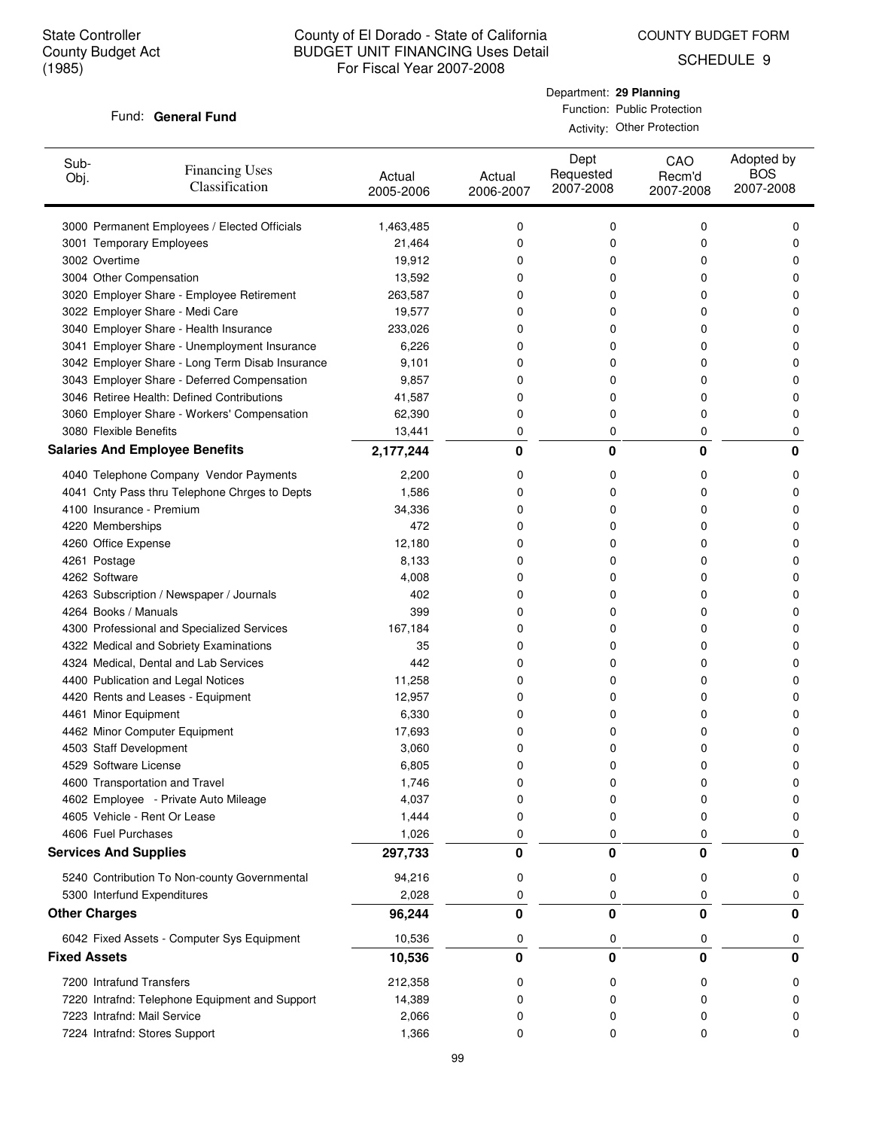COUNTY BUDGET FORM

SCHEDULE 9

### Fund: General Fund

| Department: 29 Planning     |
|-----------------------------|
| Function: Public Protection |
| Activity: Other Protection  |

| Sub-<br>Obj.         | <b>Financing Uses</b><br>Classification         | Actual<br>2005-2006 | Actual<br>2006-2007 | Dept<br>Requested<br>2007-2008 | CAO<br>Recm'd<br>2007-2008 | Adopted by<br><b>BOS</b><br>2007-2008 |
|----------------------|-------------------------------------------------|---------------------|---------------------|--------------------------------|----------------------------|---------------------------------------|
|                      | 3000 Permanent Employees / Elected Officials    | 1,463,485           | 0                   | 0                              | 0                          | 0                                     |
|                      | 3001 Temporary Employees                        | 21,464              | 0                   | 0                              | 0                          | 0                                     |
|                      | 3002 Overtime                                   | 19,912              | 0                   | 0                              | 0                          | 0                                     |
|                      | 3004 Other Compensation                         | 13,592              | 0                   | 0                              | 0                          | 0                                     |
|                      | 3020 Employer Share - Employee Retirement       | 263,587             | 0                   | 0                              | 0                          | 0                                     |
|                      | 3022 Employer Share - Medi Care                 | 19,577              | 0                   | 0                              | 0                          | 0                                     |
|                      | 3040 Employer Share - Health Insurance          | 233,026             | 0                   | 0                              | 0                          | 0                                     |
|                      | 3041 Employer Share - Unemployment Insurance    | 6,226               | 0                   | 0                              | 0                          | 0                                     |
|                      | 3042 Employer Share - Long Term Disab Insurance | 9,101               | 0                   | 0                              | 0                          | 0                                     |
|                      | 3043 Employer Share - Deferred Compensation     | 9,857               | 0                   | 0                              | 0                          | 0                                     |
|                      | 3046 Retiree Health: Defined Contributions      | 41,587              | 0                   | 0                              | 0                          | 0                                     |
|                      | 3060 Employer Share - Workers' Compensation     | 62,390              | 0                   | 0                              | 0                          | 0                                     |
|                      | 3080 Flexible Benefits                          | 13,441              | 0                   | 0                              | 0                          | 0                                     |
|                      | <b>Salaries And Employee Benefits</b>           | 2,177,244           | 0                   | 0                              | 0                          | 0                                     |
|                      | 4040 Telephone Company Vendor Payments          | 2,200               | 0                   | 0                              | 0                          | 0                                     |
|                      | 4041 Cnty Pass thru Telephone Chrges to Depts   | 1,586               | 0                   | 0                              | 0                          | 0                                     |
|                      | 4100 Insurance - Premium                        | 34,336              | 0                   | 0                              | 0                          | 0                                     |
|                      | 4220 Memberships                                | 472                 | 0                   | 0                              | 0                          | 0                                     |
|                      | 4260 Office Expense                             | 12,180              | 0                   | 0                              | 0                          | 0                                     |
|                      | 4261 Postage                                    | 8,133               | 0                   | 0                              | 0                          | 0                                     |
|                      | 4262 Software                                   | 4,008               | 0                   | 0                              | 0                          | 0                                     |
|                      | 4263 Subscription / Newspaper / Journals        | 402                 | 0                   | 0                              | 0                          | 0                                     |
|                      | 4264 Books / Manuals                            | 399                 | 0                   | 0                              | 0                          | 0                                     |
|                      | 4300 Professional and Specialized Services      | 167,184             | 0                   | 0                              | 0                          | 0                                     |
|                      | 4322 Medical and Sobriety Examinations          | 35                  | 0                   | 0                              | 0                          | 0                                     |
|                      | 4324 Medical, Dental and Lab Services           | 442                 | 0                   | 0                              | 0                          | 0                                     |
|                      | 4400 Publication and Legal Notices              | 11,258              | 0                   | 0                              | 0                          | 0                                     |
|                      | 4420 Rents and Leases - Equipment               | 12,957              | 0                   | 0                              | 0                          | 0                                     |
|                      | 4461 Minor Equipment                            | 6,330               | 0                   | 0                              | 0                          | 0                                     |
|                      | 4462 Minor Computer Equipment                   | 17,693              | 0                   | 0                              | 0                          | 0                                     |
|                      | 4503 Staff Development                          | 3,060               | 0                   | 0                              | 0                          | 0                                     |
|                      | 4529 Software License                           | 6,805               | 0                   | 0                              | 0                          | 0                                     |
|                      | 4600 Transportation and Travel                  | 1,746               | U                   | υ                              | U                          | U                                     |
|                      | 4602 Employee - Private Auto Mileage            | 4,037               | 0                   | 0                              | 0                          | 0                                     |
|                      | 4605 Vehicle - Rent Or Lease                    | 1,444               | 0                   | 0                              | 0                          | 0                                     |
|                      | 4606 Fuel Purchases                             | 1,026               | 0                   | 0                              | 0                          | 0                                     |
|                      | <b>Services And Supplies</b>                    | 297,733             | 0                   | 0                              | 0                          | 0                                     |
|                      | 5240 Contribution To Non-county Governmental    | 94,216              | 0                   | 0                              | 0                          | 0                                     |
|                      | 5300 Interfund Expenditures                     | 2,028               | 0                   | 0                              | 0                          | 0                                     |
| <b>Other Charges</b> |                                                 | 96,244              | 0                   | 0                              | 0                          | 0                                     |
|                      | 6042 Fixed Assets - Computer Sys Equipment      | 10,536              | 0                   | 0                              | 0                          | 0                                     |
| <b>Fixed Assets</b>  |                                                 | 10,536              | 0                   | 0                              | $\bf{0}$                   | 0                                     |
|                      | 7200 Intrafund Transfers                        | 212,358             | 0                   | 0                              | 0                          | 0                                     |
|                      | 7220 Intrafnd: Telephone Equipment and Support  | 14,389              | 0                   | 0                              | 0                          |                                       |
|                      | 7223 Intrafnd: Mail Service                     | 2,066               | 0                   | 0                              | 0                          |                                       |
|                      | 7224 Intrafnd: Stores Support                   | 1,366               | 0                   | 0                              | 0                          | 0                                     |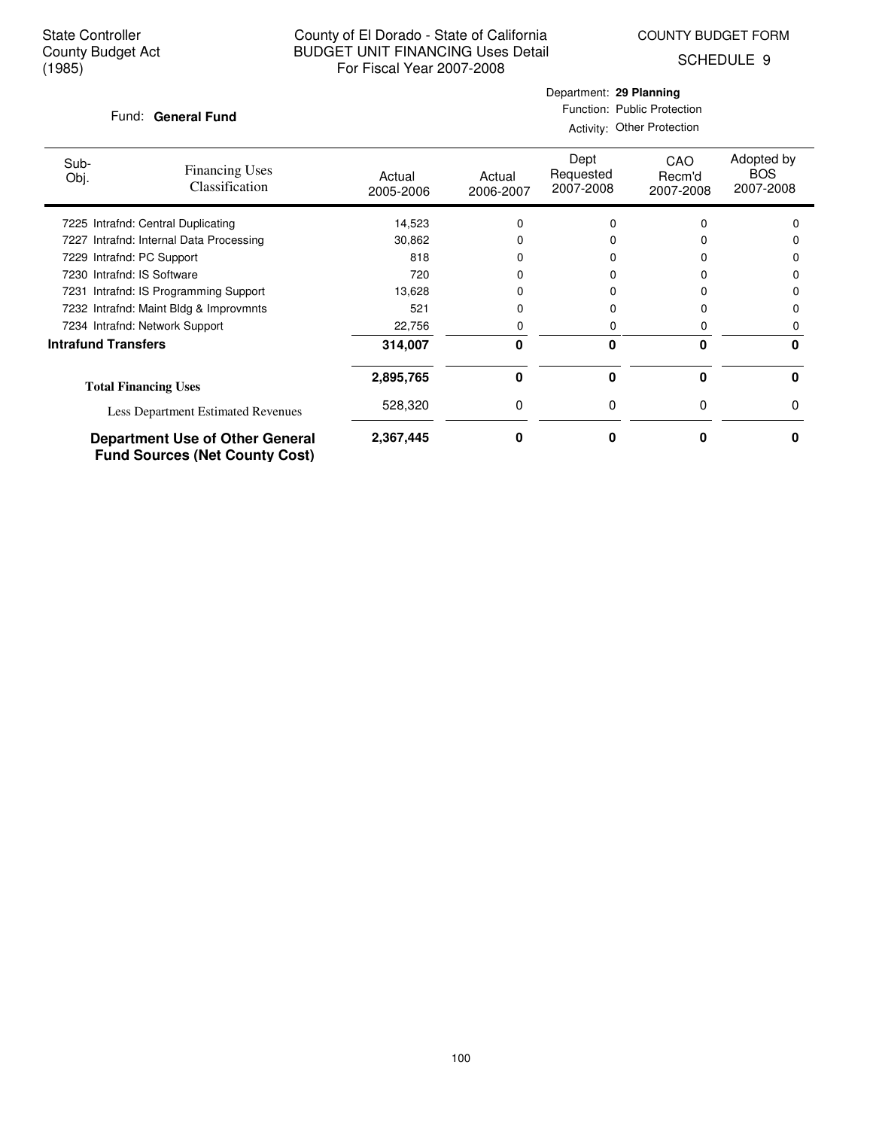$\overline{\phantom{a}}$ 

## County of El Dorado - State of California BUDGET UNIT FINANCING Uses Detail For Fiscal Year 2007-2008

Department: **29 Planning** Function: Public Protection

SCHEDULE 9

### Fund: General Fund

|                            | Fund. General Fund                                                              | Activity: Other Protection |                     |                                |                            |                                       |  |
|----------------------------|---------------------------------------------------------------------------------|----------------------------|---------------------|--------------------------------|----------------------------|---------------------------------------|--|
| Sub-<br>Obj.               | <b>Financing Uses</b><br>Classification                                         | Actual<br>2005-2006        | Actual<br>2006-2007 | Dept<br>Requested<br>2007-2008 | CAO<br>Recm'd<br>2007-2008 | Adopted by<br><b>BOS</b><br>2007-2008 |  |
|                            | 7225 Intrafnd: Central Duplicating                                              | 14,523                     |                     |                                | O                          |                                       |  |
| 7227                       | Intrafnd: Internal Data Processing                                              | 30,862                     |                     |                                |                            |                                       |  |
| 7229 Intrafnd: PC Support  |                                                                                 | 818                        |                     |                                |                            | n                                     |  |
| 7230 Intrafnd: IS Software |                                                                                 | 720                        |                     |                                |                            |                                       |  |
|                            | 7231 Intrafnd: IS Programming Support                                           | 13,628                     |                     |                                |                            |                                       |  |
|                            | 7232 Intrafnd: Maint Bldg & Improvmnts                                          | 521                        |                     |                                | n                          | n                                     |  |
|                            | 7234 Intrafnd: Network Support                                                  | 22,756                     |                     | 0                              | 0                          | 0                                     |  |
| <b>Intrafund Transfers</b> |                                                                                 | 314,007                    | 0                   | $\bf{0}$                       | 0                          | 0                                     |  |
|                            | <b>Total Financing Uses</b>                                                     | 2,895,765                  | 0                   | $\bf{0}$                       | 0                          | 0                                     |  |
|                            | Less Department Estimated Revenues                                              | 528,320                    | 0                   | 0                              | 0                          | 0                                     |  |
|                            | <b>Department Use of Other General</b><br><b>Fund Sources (Net County Cost)</b> | 2,367,445                  | 0                   | O                              | ი                          |                                       |  |